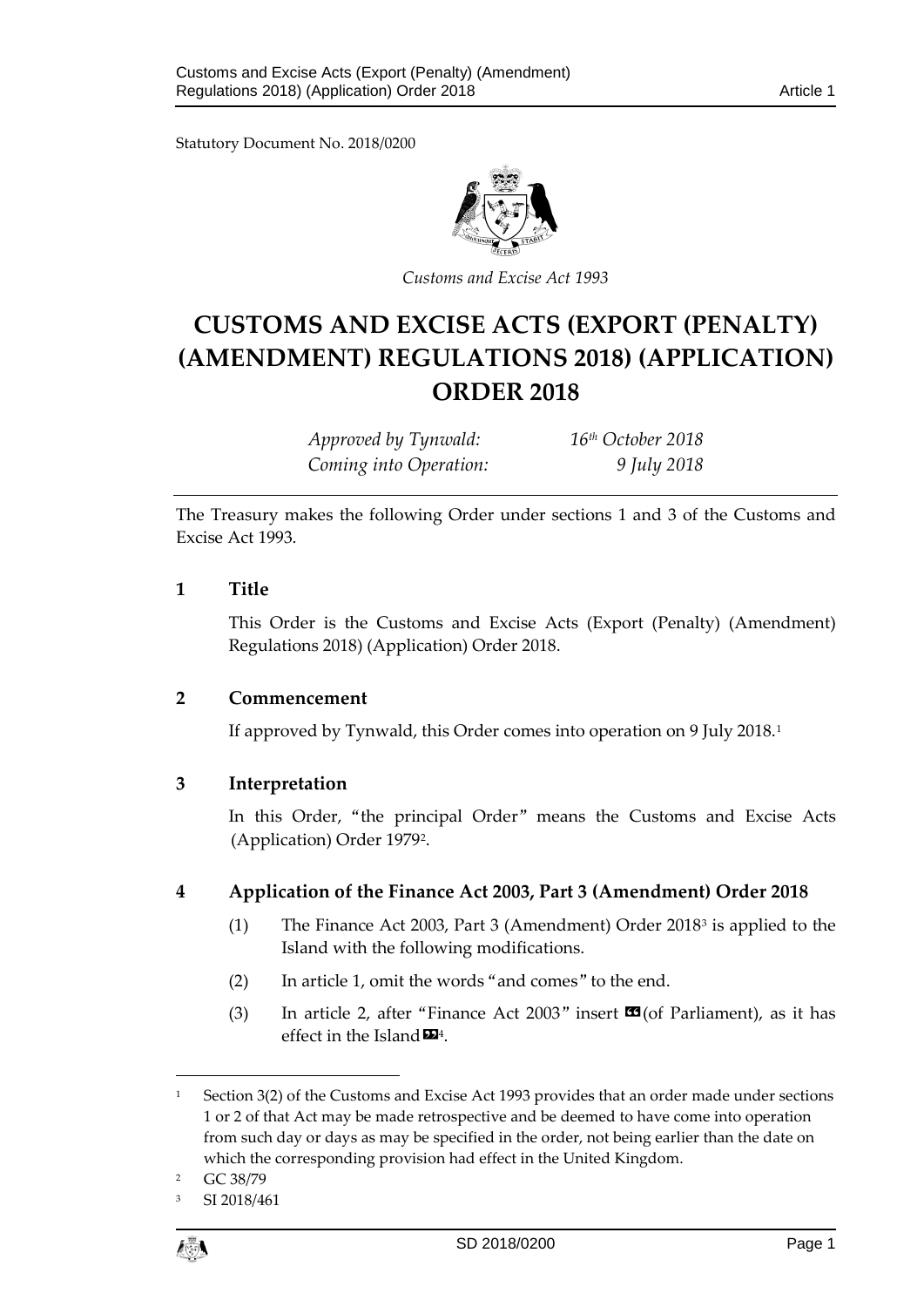Statutory Document No. 2018/0200



*Customs and Excise Act 1993*

# **CUSTOMS AND EXCISE ACTS (EXPORT (PENALTY) (AMENDMENT) REGULATIONS 2018) (APPLICATION) ORDER 2018**

| Approved by Tynwald:   | 16 <sup>th</sup> October 2018 |
|------------------------|-------------------------------|
| Coming into Operation: | 9 July 2018                   |

The Treasury makes the following Order under sections 1 and 3 of the Customs and Excise Act 1993.

### **1 Title**

This Order is the Customs and Excise Acts (Export (Penalty) (Amendment) Regulations 2018) (Application) Order 2018.

### **2 Commencement**

If approved by Tynwald, this Order comes into operation on 9 July 2018[.1](#page-0-0)

## **3 Interpretation**

In this Order, "the principal Order" means the Customs and Excise Acts (Application) Order 1979[2](#page-0-1).

## **4 Application of the Finance Act 2003, Part 3 (Amendment) Order 2018**

- (1) The Finance Act 2003, Part 3 (Amendment) Order 2018[3](#page-0-2) is applied to the Island with the following modifications.
- (2) In article 1, omit the words "and comes" to the end.
- (3) In article 2, after "Finance Act 2003" insert  $\mathbb{C}$  (of Parliament), as it has effect in the Island  $\mathbf{D}^4$  $\mathbf{D}^4$ .

<span id="page-0-2"></span>SI 2018/461



 $\overline{a}$ 

<span id="page-0-0"></span><sup>&</sup>lt;sup>1</sup> Section 3(2) of the Customs and Excise Act 1993 provides that an order made under sections 1 or 2 of that Act may be made retrospective and be deemed to have come into operation from such day or days as may be specified in the order, not being earlier than the date on which the corresponding provision had effect in the United Kingdom.

<span id="page-0-1"></span><sup>2</sup> GC 38/79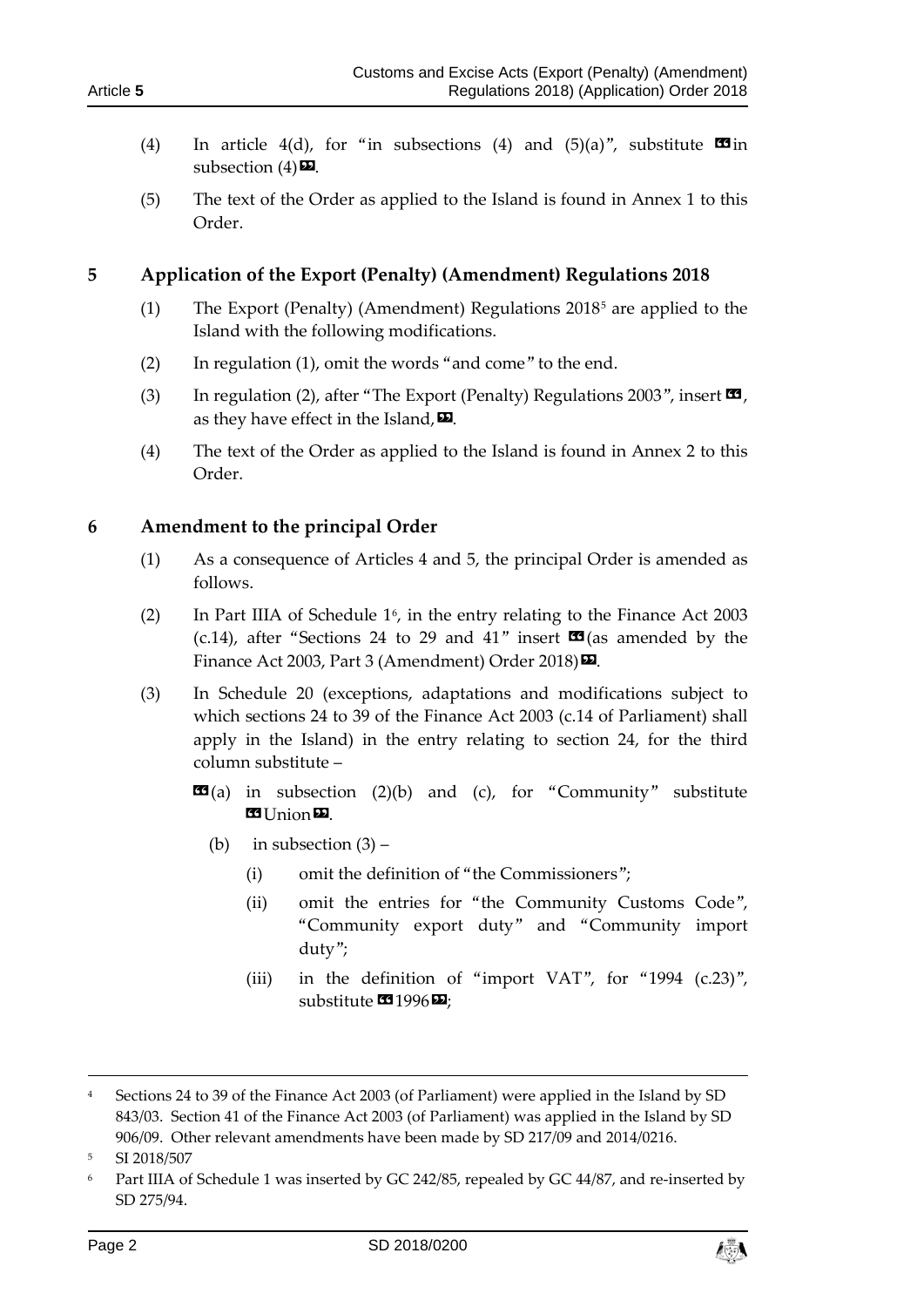- (4) In article 4(d), for "in subsections (4) and  $(5)(a)$ ", substitute  $\blacksquare$ subsection  $(4)$ **D**.
- (5) The text of the Order as applied to the Island is found in Annex 1 to this Order.

# **5 Application of the Export (Penalty) (Amendment) Regulations 2018**

- (1) The Export (Penalty) (Amendment) Regulations  $2018<sup>5</sup>$  $2018<sup>5</sup>$  $2018<sup>5</sup>$  are applied to the Island with the following modifications.
- (2) In regulation (1), omit the words "and come" to the end.
- (3) In regulation (2), after "The Export (Penalty) Regulations 2003", insert  $\mathbf{G}$ , as they have effect in the Island,  $\mathbf{E}$ .
- (4) The text of the Order as applied to the Island is found in Annex 2 to this Order.

## **6 Amendment to the principal Order**

- (1) As a consequence of Articles 4 and 5, the principal Order is amended as follows.
- (2) In Part IIIA of Schedule  $1<sup>6</sup>$  $1<sup>6</sup>$  $1<sup>6</sup>$ , in the entry relating to the Finance Act 2003 (c.14), after "Sections 24 to 29 and 41" insert  $\mathbf{\Omega}$  (as amended by the Finance Act 2003, Part 3 (Amendment) Order 2018)  $\Sigma$ .
- (3) In Schedule 20 (exceptions, adaptations and modifications subject to which sections 24 to 39 of the Finance Act 2003 (c.14 of Parliament) shall apply in the Island) in the entry relating to section 24, for the third column substitute –
	- $\mathbf{G}(a)$  in subsection (2)(b) and (c), for "Community" substitute **B** Union
		- (b) in subsection (3)
			- (i) omit the definition of "the Commissioners";
			- (ii) omit the entries for "the Community Customs Code", "Community export duty" and "Community import duty";
			- (iii) in the definition of "import VAT", for "1994  $(c.23)$ ", substitute  $\mathbf{C}$ 1996 $\mathbf{E}$ ;

-



<sup>4</sup> Sections 24 to 39 of the Finance Act 2003 (of Parliament) were applied in the Island by SD 843/03. Section 41 of the Finance Act 2003 (of Parliament) was applied in the Island by SD 906/09. Other relevant amendments have been made by SD 217/09 and 2014/0216.

<span id="page-1-0"></span><sup>5</sup> SI 2018/507

<span id="page-1-1"></span><sup>6</sup> Part IIIA of Schedule 1 was inserted by GC 242/85, repealed by GC 44/87, and re-inserted by SD 275/94.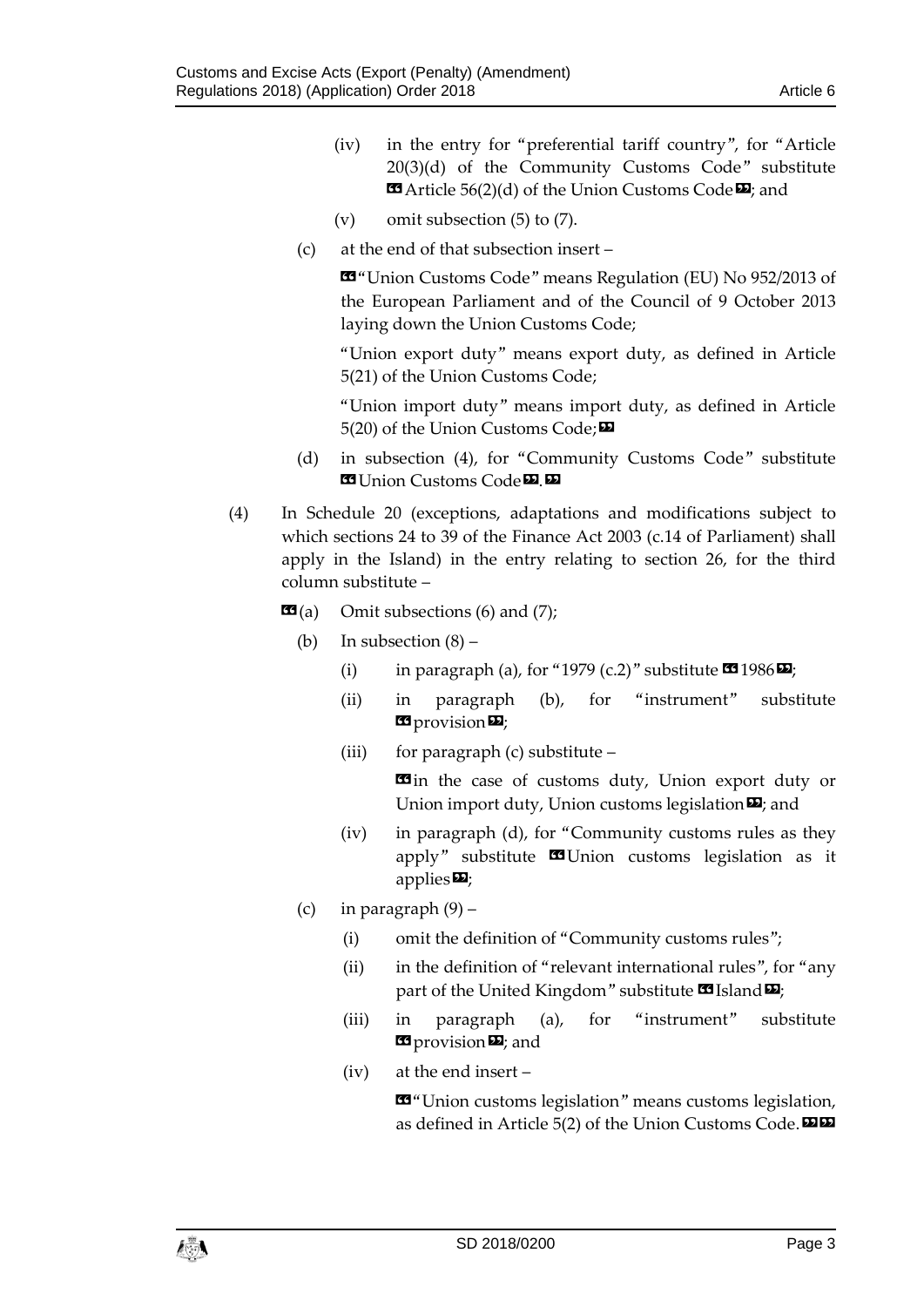- (iv) in the entry for "preferential tariff country", for "Article 20(3)(d) of the Community Customs Code" substitute  $\text{A}$  Article 56(2)(d) of the Union Customs Code  $\text{Z}$ ; and
- (v) omit subsection (5) to (7).
- (c) at the end of that subsection insert –

«"Union Customs Code" means Regulation (EU) No 952/2013 of the European Parliament and of the Council of 9 October 2013 laying down the Union Customs Code;

"Union export duty" means export duty, as defined in Article 5(21) of the Union Customs Code;

"Union import duty" means import duty, as defined in Article 5(20) of the Union Customs Code;

- (d) in subsection (4), for "Community Customs Code" substitute **Ed Union Customs Code**<sup>D</sup>.
- (4) In Schedule 20 (exceptions, adaptations and modifications subject to which sections 24 to 39 of the Finance Act 2003 (c.14 of Parliament) shall apply in the Island) in the entry relating to section 26, for the third column substitute –
	- $\mathbf{G}(a)$  Omit subsections (6) and (7);
		- (b) In subsection  $(8)$ 
			- (i) in paragraph (a), for "1979 (c.2)" substitute  $\mathbf{C}$  1986 $\mathbf{E}$ ;
			- (ii) in paragraph (b), for "instrument" substitute **E** provision **D**;
			- (iii) for paragraph (c) substitute –

**E**in the case of customs duty, Union export duty or Union import duty, Union customs legislation  $\boldsymbol{\mathsf{\Xi}}$ ; and

- (iv) in paragraph (d), for "Community customs rules as they apply" substitute **x** Union customs legislation as it applies $\mathbf{E}$ ;
- (c) in paragraph  $(9)$ 
	- (i) omit the definition of "Community customs rules";
	- (ii) in the definition of "relevant international rules", for "any part of the United Kingdom" substitute **II** Island  $\Psi$ ;
	- (iii) in paragraph (a), for "instrument" substitute **E** provision **D**; and
	- (iv) at the end insert –

«"Union customs legislation" means customs legislation, as defined in Article  $5(2)$  of the Union Customs Code.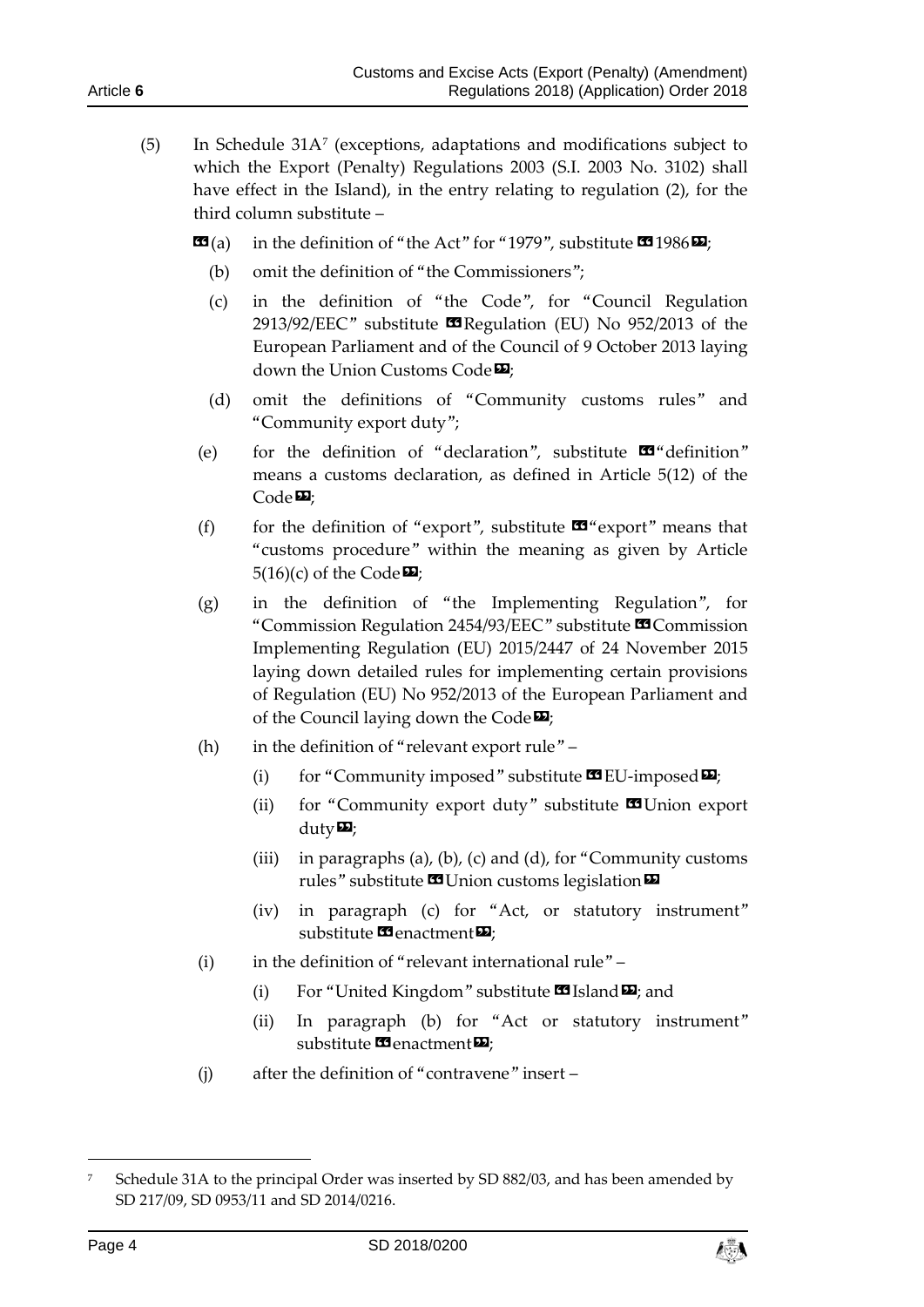- (5) In Schedule 31A[7](#page-3-0) (exceptions, adaptations and modifications subject to which the Export (Penalty) Regulations 2003 (S.I. 2003 No. 3102) shall have effect in the Island), in the entry relating to regulation (2), for the third column substitute –
	- $\mathbf{G}(a)$  in the definition of "the Act" for "1979", substitute  $\mathbf{G}(1986)\mathbf{E}$ ;
		- (b) omit the definition of "the Commissioners";
		- (c) in the definition of "the Code", for "Council Regulation 2913/92/EEC" substitute  $\blacksquare$  Regulation (EU) No 952/2013 of the European Parliament and of the Council of 9 October 2013 laying down the Union Customs Code<sup>D</sup>:
		- (d) omit the definitions of "Community customs rules" and "Community export duty";
	- (e) for the definition of "declaration", substitute  $\mathbf{w}$ " definition" means a customs declaration, as defined in Article 5(12) of the  $Code 22;$
	- (f) for the definition of "export", substitute  $\mathbf{w}$ " export" means that "customs procedure" within the meaning as given by Article  $5(16)(c)$  of the Code $\overline{2}$ ;
	- (g) in the definition of "the Implementing Regulation", for "Commission Regulation 2454/93/EEC" substitute **II** Commission Implementing Regulation (EU) 2015/2447 of 24 November 2015 laying down detailed rules for implementing certain provisions of Regulation (EU) No 952/2013 of the European Parliament and of the Council laying down the Code $\boldsymbol{\mathsf{\Xi}}$ ;
	- (h) in the definition of "relevant export rule"
		- (i) for "Community imposed" substitute  $\mathbf{\mathfrak{B}}$  EU-imposed  $\mathbf{\Sigma}$ ;
		- (ii) for "Community export duty" substitute  $\blacksquare$  Union export duty $\mathbf{E}$ ;
		- (iii) in paragraphs (a), (b), (c) and (d), for "Community customs rules" substitute  $\blacksquare$  Union customs legislation  $\blacksquare$
		- (iv) in paragraph (c) for "Act, or statutory instrument" substitute **<sup>11</sup>** enactment<sup>D</sup>;
	- (i) in the definition of "relevant international rule"
		- (i) For "United Kingdom" substitute  $\blacksquare$  Island  $\blacksquare$ ; and
		- (ii) In paragraph (b) for "Act or statutory instrument" substitute  $\mathbf{E}$  enactment $\mathbf{E}$ ;
	- (j) after the definition of "contravene" insert –

-



<span id="page-3-0"></span><sup>7</sup> Schedule 31A to the principal Order was inserted by SD 882/03, and has been amended by SD 217/09, SD 0953/11 and SD 2014/0216.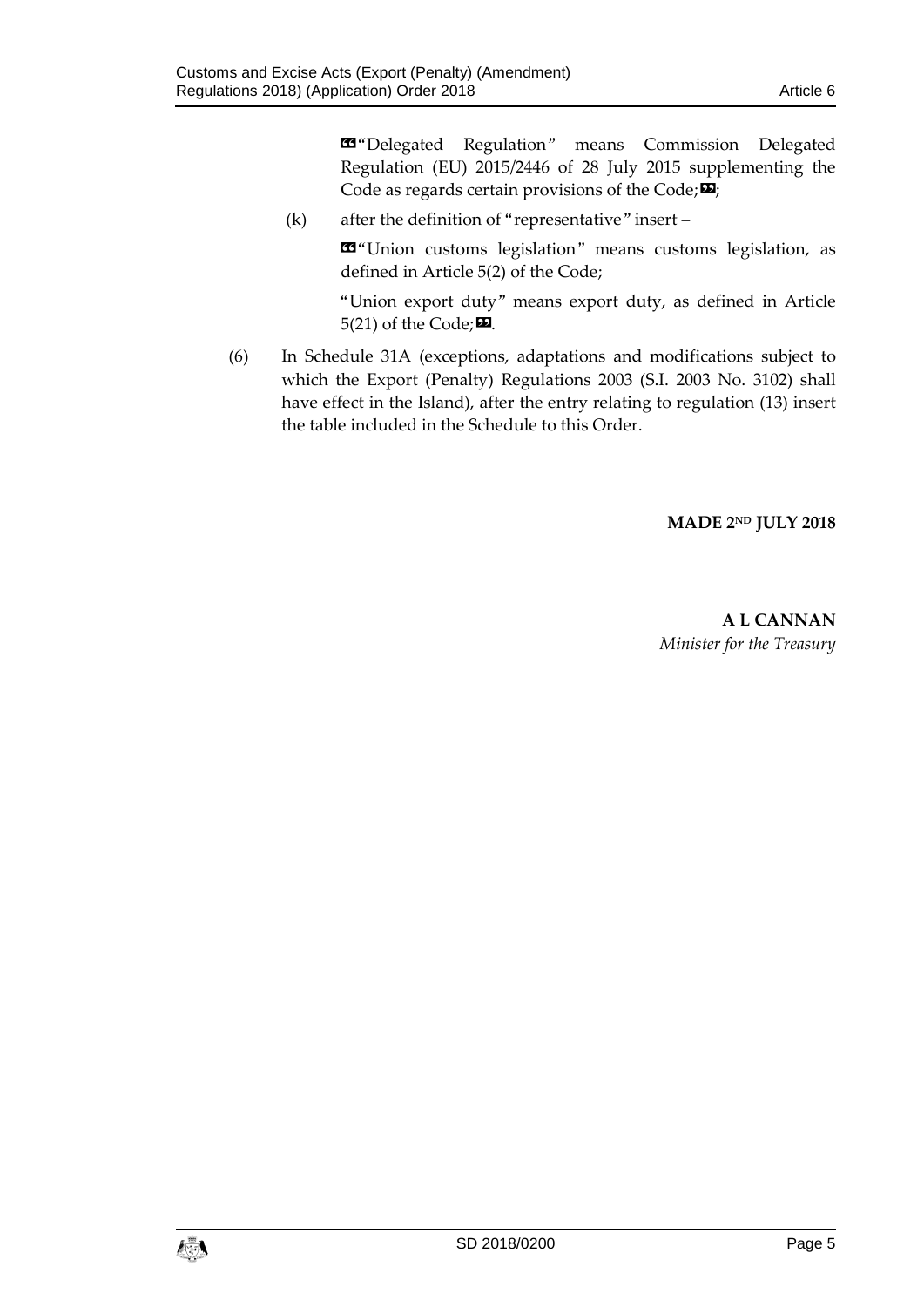«"Delegated Regulation" means Commission Delegated Regulation (EU) 2015/2446 of 28 July 2015 supplementing the Code as regards certain provisions of the Code; $\mathbf{E}$ ;

(k) after the definition of "representative" insert –

«"Union customs legislation" means customs legislation, as defined in Article 5(2) of the Code;

"Union export duty" means export duty, as defined in Article  $5(21)$  of the Code;  $\mathbf{E}$ .

(6) In Schedule 31A (exceptions, adaptations and modifications subject to which the Export (Penalty) Regulations 2003 (S.I. 2003 No. 3102) shall have effect in the Island), after the entry relating to regulation (13) insert the table included in the Schedule to this Order.

### **MADE 2ND JULY 2018**

**A L CANNAN** *Minister for the Treasury*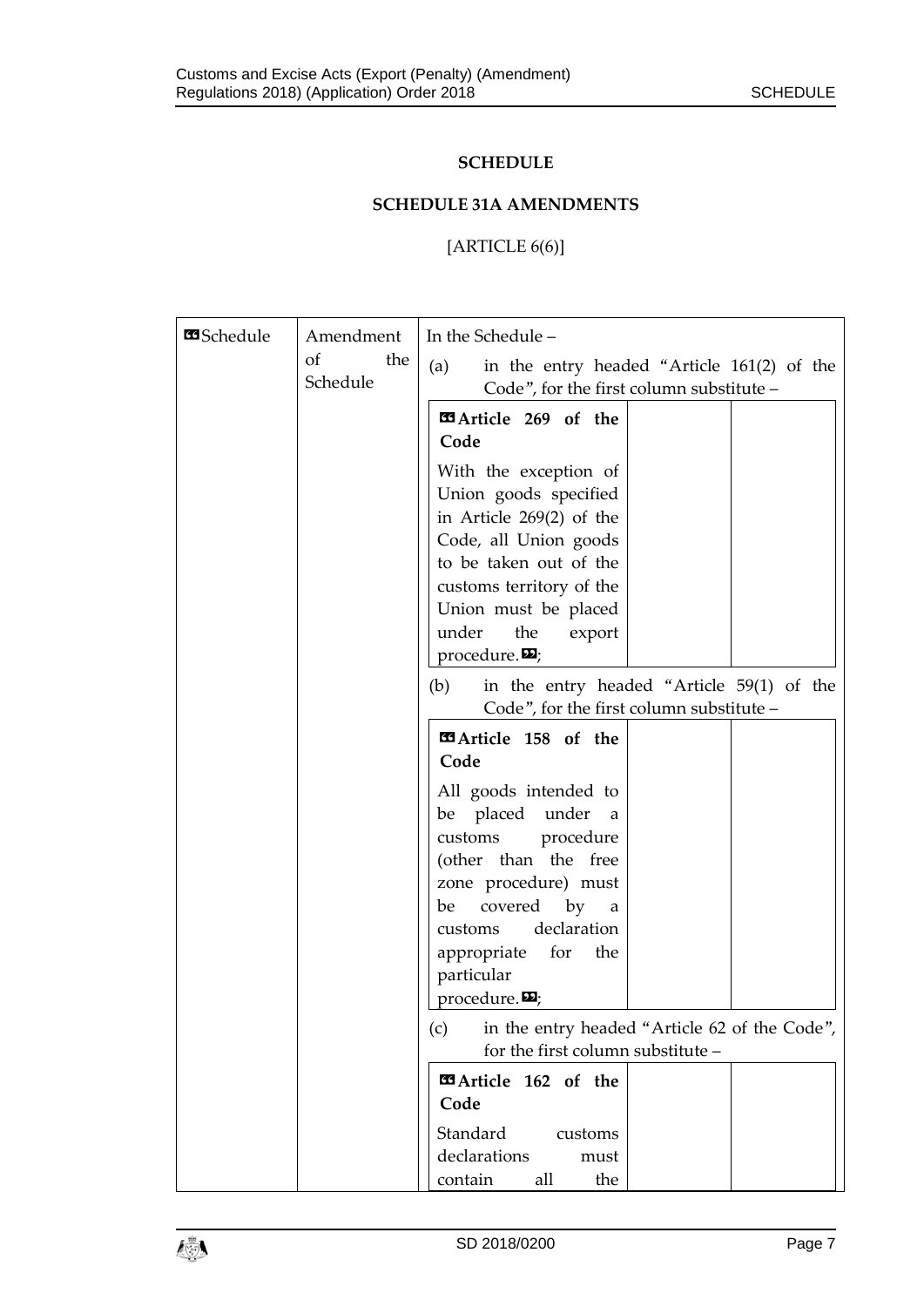### **SCHEDULE**

# **SCHEDULE 31A AMENDMENTS**

# [ARTICLE 6(6)]

| <b>B</b> Schedule | Amendment             | In the Schedule -                                                                                                                                                                                                                          |
|-------------------|-----------------------|--------------------------------------------------------------------------------------------------------------------------------------------------------------------------------------------------------------------------------------------|
|                   | of<br>the<br>Schedule | (a)<br>in the entry headed "Article 161(2) of the<br>Code", for the first column substitute -                                                                                                                                              |
|                   |                       | <b>EArticle 269 of the</b><br>Code<br>With the exception of<br>Union goods specified<br>in Article $269(2)$ of the                                                                                                                         |
|                   |                       | Code, all Union goods<br>to be taken out of the<br>customs territory of the<br>Union must be placed<br>under<br>the<br>export<br>procedure. $\mathbf{E}$ ;                                                                                 |
|                   |                       | in the entry headed "Article 59(1) of the<br>(b)<br>Code", for the first column substitute -                                                                                                                                               |
|                   |                       | EArticle 158 of the<br>Code                                                                                                                                                                                                                |
|                   |                       | All goods intended to<br>be placed under<br>a<br>customs<br>procedure<br>(other than the free<br>zone procedure) must<br>covered by a<br>be<br>declaration<br>customs<br>appropriate for<br>the<br>particular<br>procedure. $\mathbf{E}$ ; |
|                   |                       | in the entry headed "Article 62 of the Code",<br>(c)<br>for the first column substitute -                                                                                                                                                  |
|                   |                       | EArticle 162 of the<br>Code<br>Standard<br>customs                                                                                                                                                                                         |
|                   |                       | declarations<br>must<br>the<br>contain<br>all                                                                                                                                                                                              |

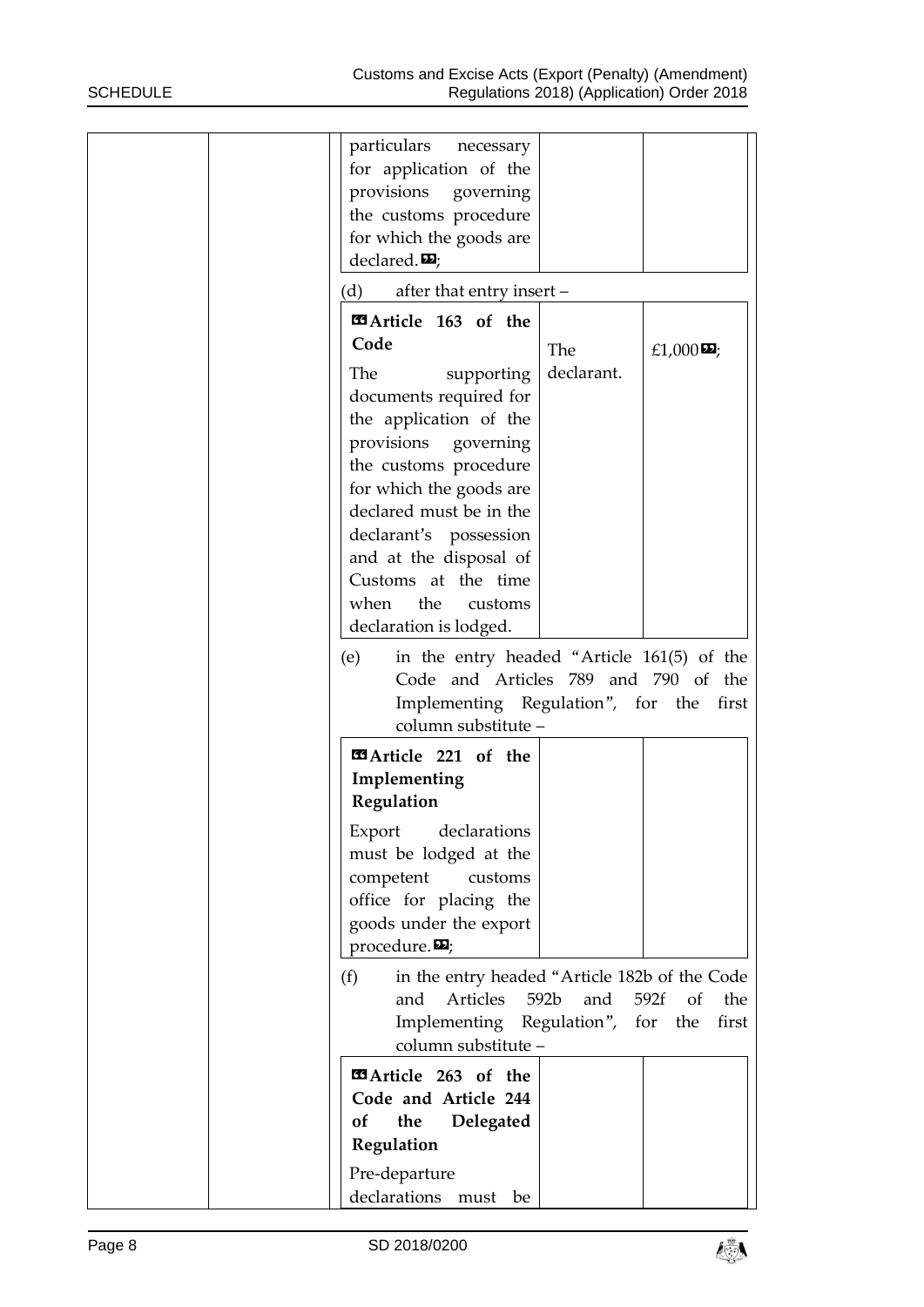| particulars<br>necessary<br>for application of the<br>provisions<br>governing<br>the customs procedure<br>for which the goods are<br>declared. $\mathbf{E}$ ;                                                                                                                                                               |
|-----------------------------------------------------------------------------------------------------------------------------------------------------------------------------------------------------------------------------------------------------------------------------------------------------------------------------|
| after that entry insert -<br>(d)                                                                                                                                                                                                                                                                                            |
| <b>E3</b> Article 163 of the<br>Code<br>The<br>£1,000 $\mathbf{\Sigma}$ ;<br>declarant.<br>The<br>supporting<br>documents required for<br>the application of the<br>provisions governing<br>the customs procedure<br>for which the goods are<br>declared must be in the<br>declarant's possession<br>and at the disposal of |
| Customs at the time<br>the<br>when<br>customs<br>declaration is lodged.                                                                                                                                                                                                                                                     |
| in the entry headed "Article 161(5) of the<br>(e)<br>Code and Articles 789 and 790 of the<br>Implementing Regulation", for the<br>first<br>column substitute -                                                                                                                                                              |
| EArticle 221 of the<br>Implementing<br>Regulation                                                                                                                                                                                                                                                                           |
| Export<br>declarations<br>must be lodged at the<br>competent<br>customs<br>office for placing the<br>goods under the export<br>procedure. $\mathbf{E}$ ;                                                                                                                                                                    |
| in the entry headed "Article 182b of the Code<br>(f)<br>592b<br>and<br>Articles<br>and<br>592f<br>of<br>the<br>Implementing Regulation", for<br>first<br>the<br>column substitute -                                                                                                                                         |
| EArticle 263 of the<br>Code and Article 244<br>of<br>the<br>Delegated<br>Regulation<br>Pre-departure<br>declarations must be                                                                                                                                                                                                |

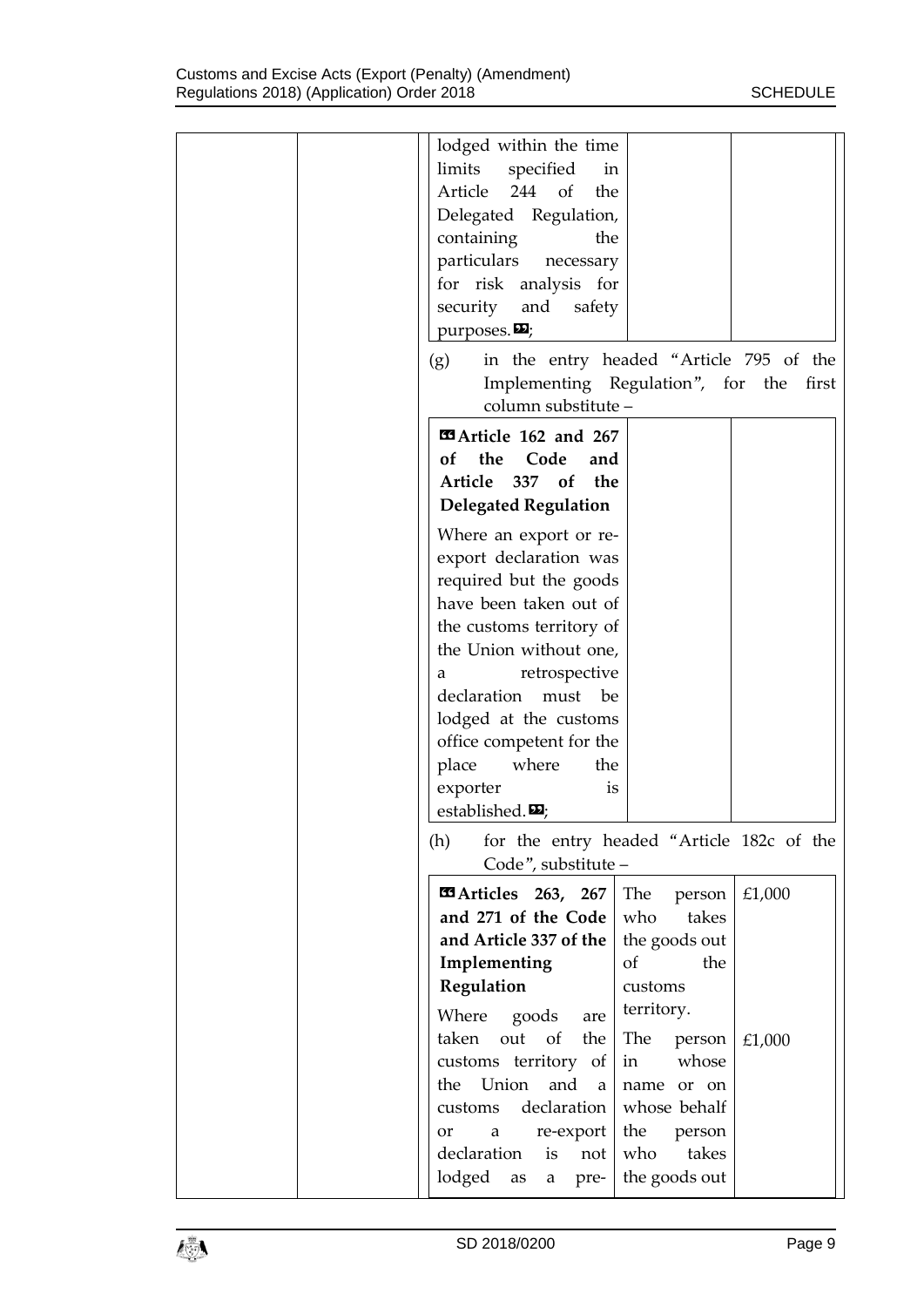| lodged within the time<br>limits specified<br>in<br>Article 244 of<br>the<br>Delegated Regulation,<br>containing<br>the<br>particulars necessary<br>for risk analysis for<br>security and safety<br>purposes. $\mathbf{E}$ ;                                                                                                        |                                                                                                                                    |                  |
|-------------------------------------------------------------------------------------------------------------------------------------------------------------------------------------------------------------------------------------------------------------------------------------------------------------------------------------|------------------------------------------------------------------------------------------------------------------------------------|------------------|
| in the entry headed "Article 795 of the<br>(g)<br>Implementing Regulation", for the first<br>column substitute -                                                                                                                                                                                                                    |                                                                                                                                    |                  |
| <b>Example 162 and 267</b><br>the Code<br>of<br>and<br>Article 337 of<br>the<br><b>Delegated Regulation</b>                                                                                                                                                                                                                         |                                                                                                                                    |                  |
| Where an export or re-<br>export declaration was<br>required but the goods<br>have been taken out of<br>the customs territory of<br>the Union without one,<br>retrospective<br>a<br>declaration must be<br>lodged at the customs<br>office competent for the<br>place where<br>the<br>exporter<br>is<br>established. $\mathbf{E}$ ; |                                                                                                                                    |                  |
| (h)<br>for the entry headed "Article 182c of the<br>Code", substitute -                                                                                                                                                                                                                                                             |                                                                                                                                    |                  |
| <b>Example 263, 267</b><br>and 271 of the Code<br>and Article 337 of the<br>Implementing<br>Regulation<br>Where goods<br>are<br>out<br>taken<br>of<br>the<br>customs territory of<br>Union<br>and<br>the<br>$\alpha$                                                                                                                | The<br>person<br>who<br>takes<br>the goods out<br>of<br>the<br>customs<br>territory.<br>The<br>person<br>whose<br>in<br>name or on | £1,000<br>£1,000 |
| declaration<br>customs<br>re-export<br>a<br>or<br>declaration<br>is<br>not<br>lodged as<br>pre-<br>a                                                                                                                                                                                                                                | whose behalf<br>the<br>person<br>who<br>takes<br>the goods out                                                                     |                  |

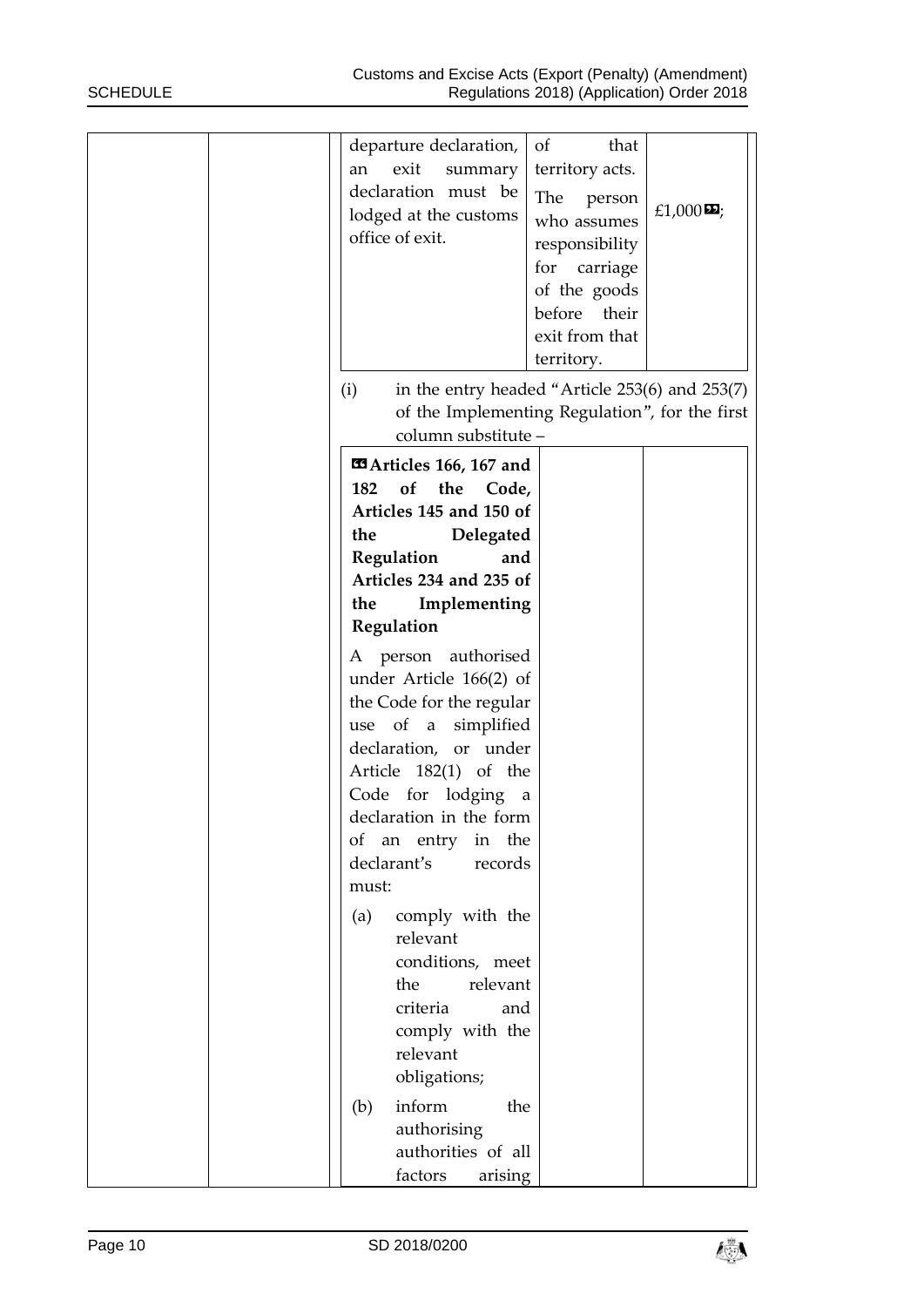| departure declaration,<br>exit<br>an<br>summary<br>declaration must be<br>lodged at the customs<br>office of exit.                                                                                                                                                                                                                                                                                                                                                                  | of<br>that<br>territory acts.<br>The<br>person<br>who assumes<br>responsibility<br>for<br>carriage<br>of the goods<br>before<br>their<br>exit from that<br>territory. | £1,000 $\boldsymbol{\Sigma}$ ; |
|-------------------------------------------------------------------------------------------------------------------------------------------------------------------------------------------------------------------------------------------------------------------------------------------------------------------------------------------------------------------------------------------------------------------------------------------------------------------------------------|-----------------------------------------------------------------------------------------------------------------------------------------------------------------------|--------------------------------|
| in the entry headed "Article 253(6) and 253(7)<br>(i)<br>of the Implementing Regulation", for the first                                                                                                                                                                                                                                                                                                                                                                             |                                                                                                                                                                       |                                |
| column substitute -<br><b>Ela</b> Articles 166, 167 and<br>of the Code,<br>182<br>Articles 145 and 150 of<br>Delegated<br>the<br>Regulation<br>and<br>Articles 234 and 235 of<br>Implementing<br>the<br>Regulation<br>A person authorised<br>under Article 166(2) of<br>the Code for the regular<br>use of a simplified<br>declaration, or under<br>Article 182(1) of the<br>Code for lodging a<br>declaration in the form<br>of an entry in the<br>declarant's<br>records<br>must: |                                                                                                                                                                       |                                |
| comply with the<br>(a)<br>relevant<br>conditions, meet<br>the<br>relevant<br>criteria<br>and<br>comply with the<br>relevant<br>obligations;<br>inform<br>the<br>(b)<br>authorising<br>authorities of all<br>factors<br>arising                                                                                                                                                                                                                                                      |                                                                                                                                                                       |                                |

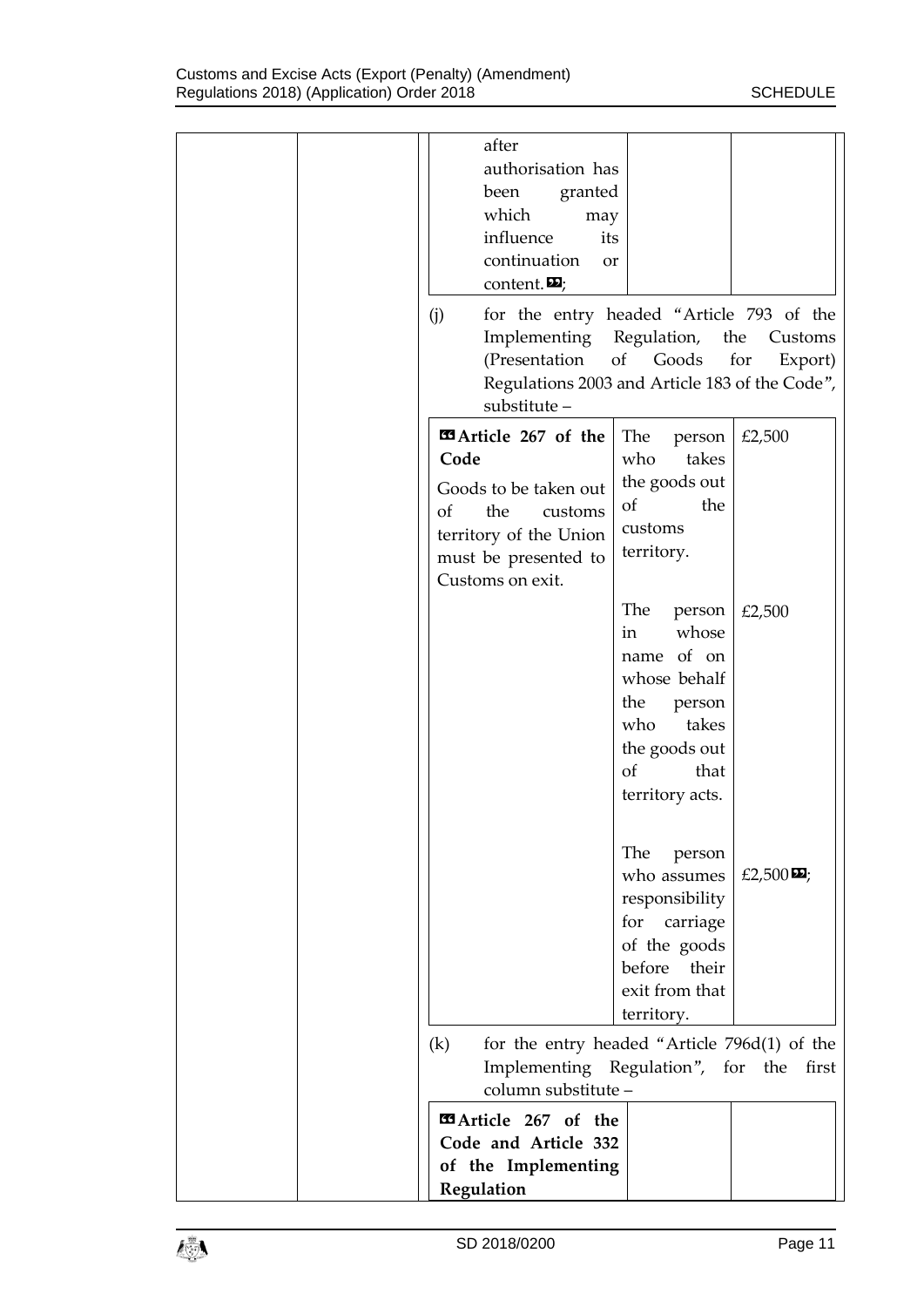|  | after<br>authorisation has<br>granted<br>been<br>which<br>may<br>influence<br>its<br>continuation<br>or<br>content. $\mathbf{E}$ ;<br>for the entry headed "Article 793 of the<br>(j)<br>Implementing Regulation, the<br>(Presentation<br>Regulations 2003 and Article 183 of the Code", | of Goods                                                                                                                                      | Customs<br>for<br>Export) |
|--|------------------------------------------------------------------------------------------------------------------------------------------------------------------------------------------------------------------------------------------------------------------------------------------|-----------------------------------------------------------------------------------------------------------------------------------------------|---------------------------|
|  | substitute-<br><b>EArticle 267 of the</b><br>Code<br>Goods to be taken out<br>the<br>of<br>customs<br>territory of the Union<br>must be presented to<br>Customs on exit.                                                                                                                 | The<br>person<br>who<br>takes<br>the goods out<br>of<br>the<br>customs<br>territory.                                                          | £2,500                    |
|  |                                                                                                                                                                                                                                                                                          | The<br>person<br>whose<br>in<br>name of on<br>whose behalf<br>the<br>person<br>takes<br>who<br>the goods out<br>of<br>that<br>territory acts. | £2,500                    |
|  |                                                                                                                                                                                                                                                                                          | The<br>person<br>who assumes<br>responsibility<br>for carriage<br>of the goods<br>before their<br>exit from that<br>territory.                | £2,500 $\mathbf{E}$ ;     |
|  | for the entry headed "Article 796d(1) of the<br>(k)<br>Implementing Regulation", for the first<br>column substitute -<br>EArticle 267 of the<br>Code and Article 332<br>of the Implementing                                                                                              |                                                                                                                                               |                           |
|  | Regulation                                                                                                                                                                                                                                                                               |                                                                                                                                               |                           |

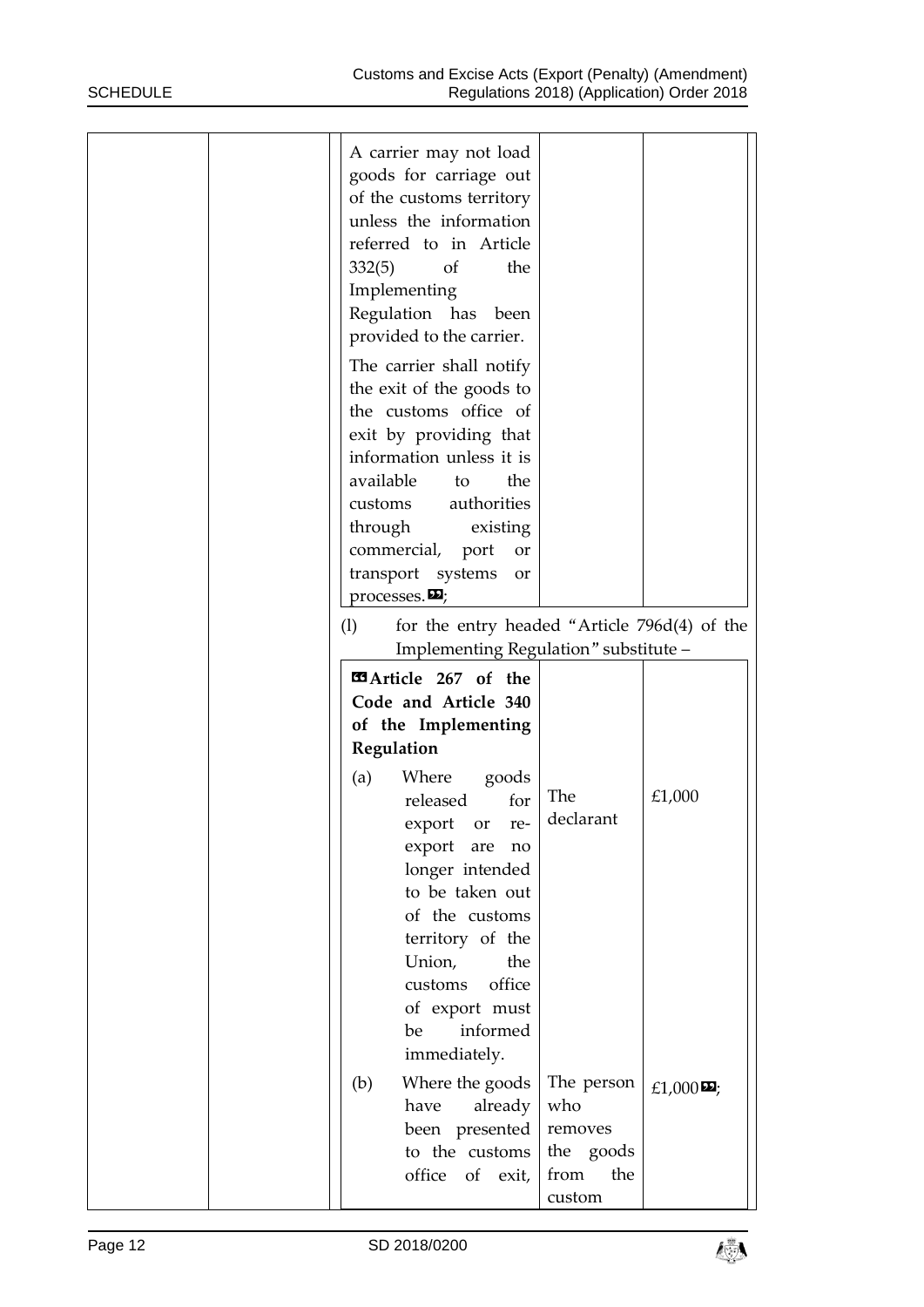|  | A carrier may not load<br>goods for carriage out<br>of the customs territory<br>unless the information<br>referred to in Article<br>332(5)<br>of<br>Implementing<br>Regulation has been<br>provided to the carrier.<br>The carrier shall notify<br>the exit of the goods to<br>the customs office of<br>exit by providing that<br>information unless it is<br>available<br>to<br>authorities<br>customs<br>through<br>existing<br>commercial, port<br>transport systems<br>processes. $\mathbf{\Sigma}$<br>(1) | the<br>the<br>or<br>or<br>for the entry headed "Article 796d(4) of the<br>Implementing Regulation" substitute - |                       |
|--|----------------------------------------------------------------------------------------------------------------------------------------------------------------------------------------------------------------------------------------------------------------------------------------------------------------------------------------------------------------------------------------------------------------------------------------------------------------------------------------------------------------|-----------------------------------------------------------------------------------------------------------------|-----------------------|
|  | EArticle 267 of the<br>Code and Article 340<br>of the Implementing<br>Regulation<br>Where goods<br>(a)<br>released<br>export or<br>export<br>are<br>longer intended<br>to be taken out<br>of the customs<br>territory of the<br>Union,<br>customs<br>of export must<br>informed<br>be<br>immediately.                                                                                                                                                                                                          | <b>The</b><br>for<br>declarant<br>re-<br>no<br>the<br>office                                                    | £1,000                |
|  | (b)<br>Where the goods<br>already<br>have<br>been presented<br>to the customs<br>office of exit,                                                                                                                                                                                                                                                                                                                                                                                                               | The person<br>who<br>removes<br>the goods<br>from<br>the<br>custom                                              | £1,000 $\mathbf{E}$ ; |

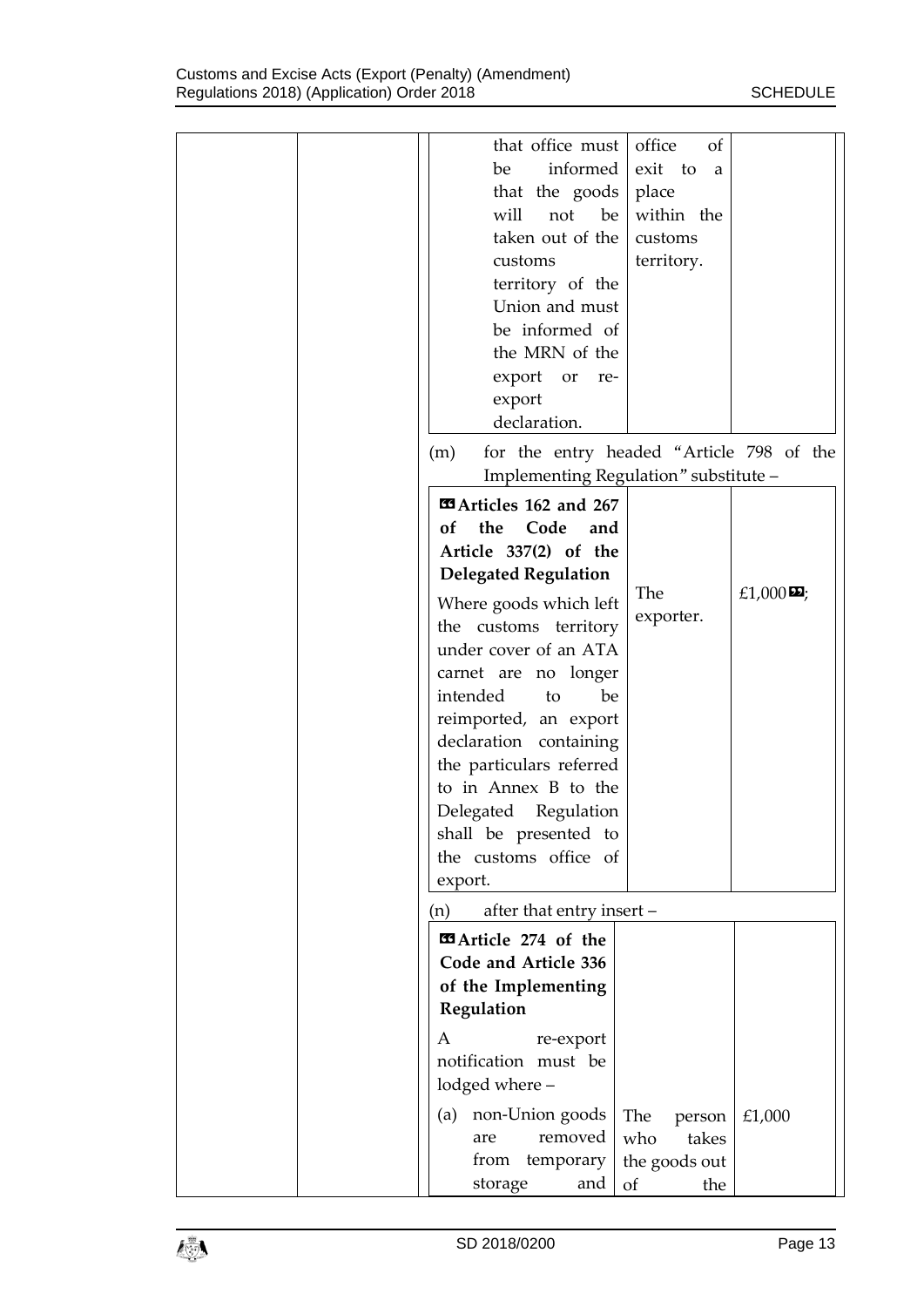| that office must office<br>informed  <br>be<br>that the $goods$<br>will<br>not<br>be<br>taken out of the<br>customs<br>territory of the<br>Union and must<br>be informed of<br>the MRN of the<br>export or re-<br>export<br>declaration. | of<br>exit to<br>$\alpha$<br>place<br>within the<br>customs<br>territory. |                       |
|------------------------------------------------------------------------------------------------------------------------------------------------------------------------------------------------------------------------------------------|---------------------------------------------------------------------------|-----------------------|
|                                                                                                                                                                                                                                          |                                                                           |                       |
| for the entry headed "Article 798 of the<br>(m)<br>Implementing Regulation" substitute -                                                                                                                                                 |                                                                           |                       |
| <b>Example 162 and 267</b>                                                                                                                                                                                                               |                                                                           |                       |
| the<br>Code<br>of<br>and<br>Article 337(2) of the<br><b>Delegated Regulation</b>                                                                                                                                                         |                                                                           |                       |
| Where goods which left<br>the customs territory<br>under cover of an ATA<br>carnet are no longer                                                                                                                                         | The<br>exporter.                                                          | £1,000 $\mathbf{E}$ ; |
| intended<br>be<br>to<br>reimported, an export<br>declaration containing                                                                                                                                                                  |                                                                           |                       |
| the particulars referred<br>to in Annex B to the<br>Delegated Regulation                                                                                                                                                                 |                                                                           |                       |
| shall be presented to<br>the customs office of                                                                                                                                                                                           |                                                                           |                       |
| export.                                                                                                                                                                                                                                  |                                                                           |                       |
| after that entry insert -<br>(n)                                                                                                                                                                                                         |                                                                           |                       |
| <b>Exa</b> Article 274 of the<br>Code and Article 336<br>of the Implementing                                                                                                                                                             |                                                                           |                       |
| Regulation<br>re-export<br>A                                                                                                                                                                                                             |                                                                           |                       |
| notification must be<br>lodged where -                                                                                                                                                                                                   |                                                                           |                       |
| (a) non-Union goods<br>removed<br>are<br>from temporary                                                                                                                                                                                  | The<br>person<br>who<br>takes<br>the goods out                            | £1,000                |
| storage<br>and                                                                                                                                                                                                                           | of<br>the                                                                 |                       |

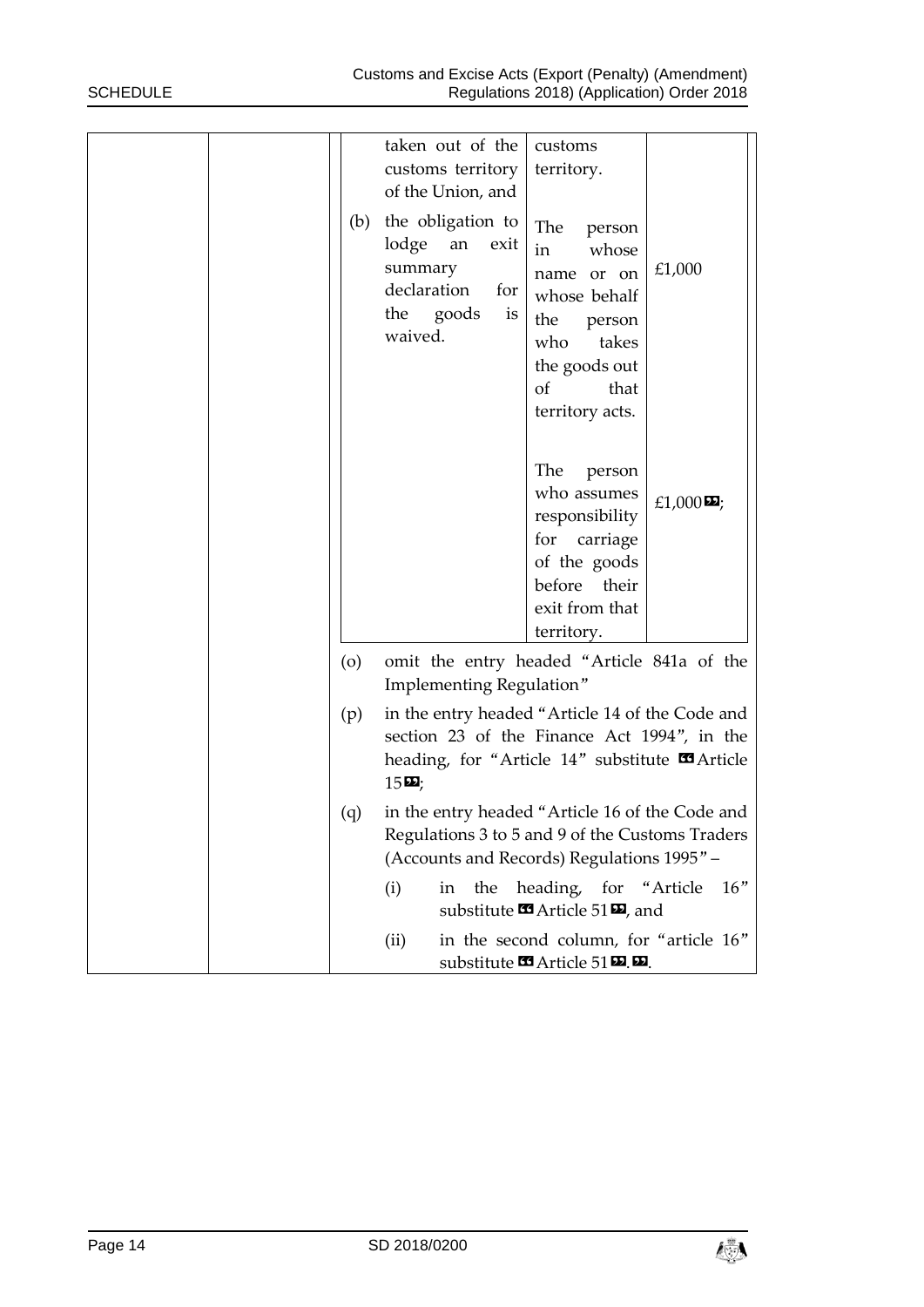|  |         | taken out of the<br>customs territory<br>of the Union, and                                                                                                                    | customs<br>territory.                                                                                                                                    |                       |
|--|---------|-------------------------------------------------------------------------------------------------------------------------------------------------------------------------------|----------------------------------------------------------------------------------------------------------------------------------------------------------|-----------------------|
|  | (b)     | the obligation to<br>lodge an<br>exit<br>summary<br>declaration<br>for<br>the goods<br>is<br>waived.                                                                          | The<br>person<br>whose<br>in<br>name or on<br>whose behalf<br>the<br>person<br>who<br>takes<br>the goods out<br><sub>of</sub><br>that<br>territory acts. | £1,000                |
|  |         |                                                                                                                                                                               | The<br>person<br>who assumes<br>responsibility<br>for<br>carriage<br>of the goods<br>before<br>their<br>exit from that<br>territory.                     | £1,000 $\mathbf{E}$ ; |
|  | $\circ$ | omit the entry headed "Article 841a of the<br>Implementing Regulation"                                                                                                        |                                                                                                                                                          |                       |
|  | (p)     | in the entry headed "Article 14 of the Code and<br>section 23 of the Finance Act 1994", in the<br>heading, for "Article 14" substitute <b>s</b> Article<br>$15\,\mathrm{m}$ ; |                                                                                                                                                          |                       |
|  | (q)     | in the entry headed "Article 16 of the Code and<br>Regulations 3 to 5 and 9 of the Customs Traders<br>(Accounts and Records) Regulations 1995" -                              |                                                                                                                                                          |                       |
|  |         | the<br>(i)<br>in                                                                                                                                                              | heading, for "Article"<br>substitute $\blacksquare$ Article 51 $\blacksquare$ , and                                                                      | 16"                   |
|  |         | (ii)                                                                                                                                                                          | in the second column, for "article 16"<br>substitute $\blacksquare$ Article 51 $\blacksquare$ .                                                          |                       |

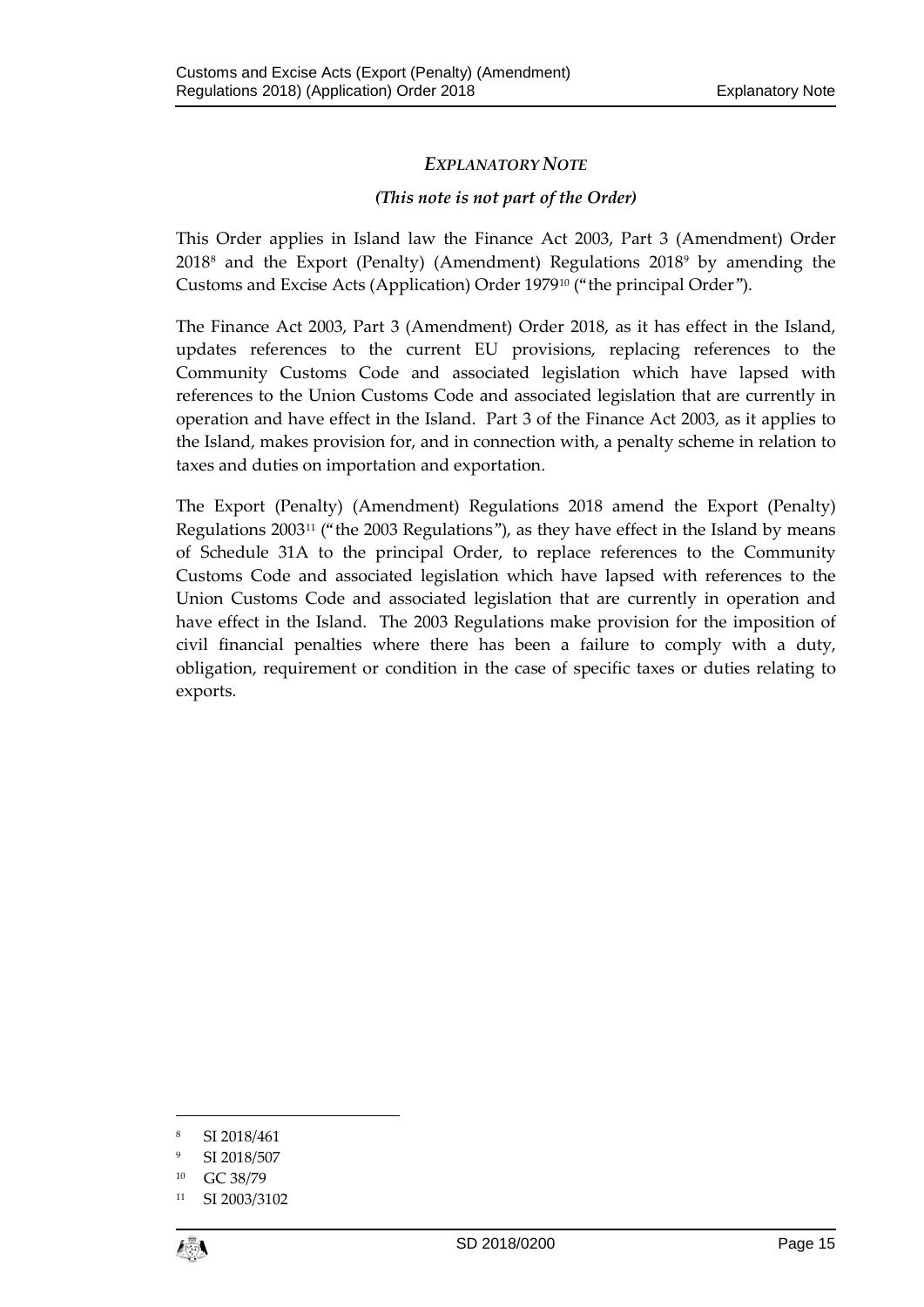# *EXPLANATORY NOTE*

## *(This note is not part of the Order)*

This Order applies in Island law the Finance Act 2003, Part 3 (Amendment) Order 2018[8](#page-14-0) and the Export (Penalty) (Amendment) Regulations 2018[9](#page-14-1) by amending the Customs and Excise Acts (Application) Order 1979[10](#page-14-2) ("the principal Order").

The Finance Act 2003, Part 3 (Amendment) Order 2018, as it has effect in the Island, updates references to the current EU provisions, replacing references to the Community Customs Code and associated legislation which have lapsed with references to the Union Customs Code and associated legislation that are currently in operation and have effect in the Island. Part 3 of the Finance Act 2003, as it applies to the Island, makes provision for, and in connection with, a penalty scheme in relation to taxes and duties on importation and exportation.

The Export (Penalty) (Amendment) Regulations 2018 amend the Export (Penalty) Regulations 2003[11](#page-14-3) ("the 2003 Regulations"), as they have effect in the Island by means of Schedule 31A to the principal Order, to replace references to the Community Customs Code and associated legislation which have lapsed with references to the Union Customs Code and associated legislation that are currently in operation and have effect in the Island. The 2003 Regulations make provision for the imposition of civil financial penalties where there has been a failure to comply with a duty, obligation, requirement or condition in the case of specific taxes or duties relating to exports.

<span id="page-14-3"></span><span id="page-14-2"></span>SI 2003/3102



 $\overline{a}$ 

<span id="page-14-0"></span><sup>8</sup> SI 2018/461

<span id="page-14-1"></span><sup>9</sup> SI 2018/507

<sup>10</sup> GC 38/79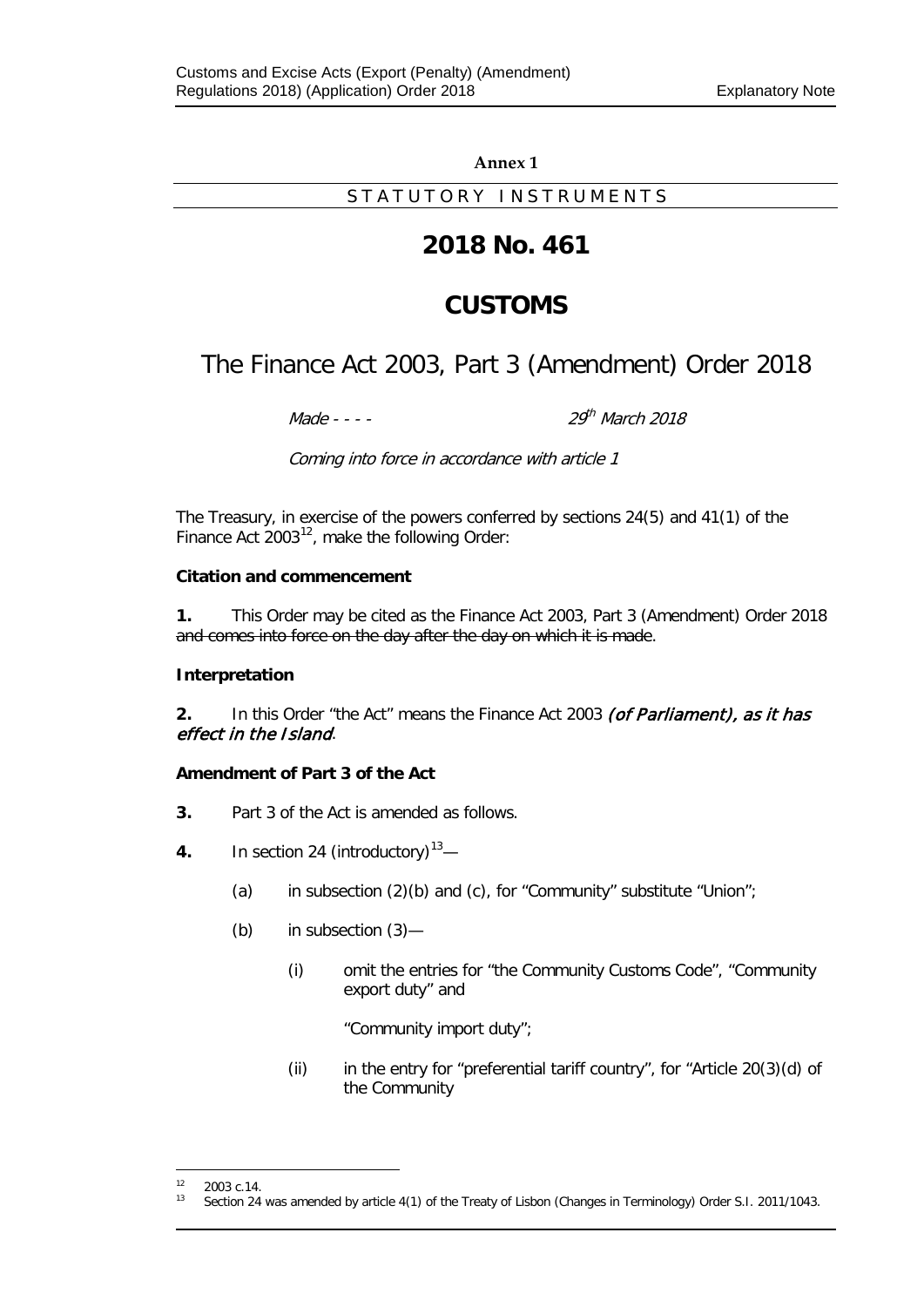### **Annex 1**

STATUTORY INSTRUMENTS

# **2018 No. 461**

# **CUSTOMS**

# The Finance Act 2003, Part 3 (Amendment) Order 2018

 $M$ ade - - -  $29^{th}$  March 2018

Coming into force in accordance with article 1

The Treasury, in exercise of the powers conferred by sections 24(5) and 41(1) of the Finance Act  $2003^{12}$  $2003^{12}$  $2003^{12}$ , make the following Order:

### **Citation and commencement**

**1.** This Order may be cited as the Finance Act 2003, Part 3 (Amendment) Order 2018 and comes into force on the day after the day on which it is made.

### **Interpretation**

**2.** In this Order "the Act" means the Finance Act 2003 (of Parliament), as it has effect in the Island.

### **Amendment of Part 3 of the Act**

- **3.** Part 3 of the Act is amended as follows.
- **4.** In section 24 (introductory)<sup>[13](#page-16-1)</sup>—
	- (a) in subsection  $(2)(b)$  and  $(c)$ , for "Community" substitute "Union";
	- (b) in subsection (3)—
		- (i) omit the entries for "the Community Customs Code", "Community export duty" and

"Community import duty";

(ii) in the entry for "preferential tariff country", for "Article 20(3)(d) of the Community

 $\overline{a}$ 

<span id="page-16-1"></span><span id="page-16-0"></span> $12$  2003 c.14.<br>  $13$  Section 24

Section 24 was amended by article 4(1) of the Treaty of Lisbon (Changes in Terminology) Order S.I. 2011/1043.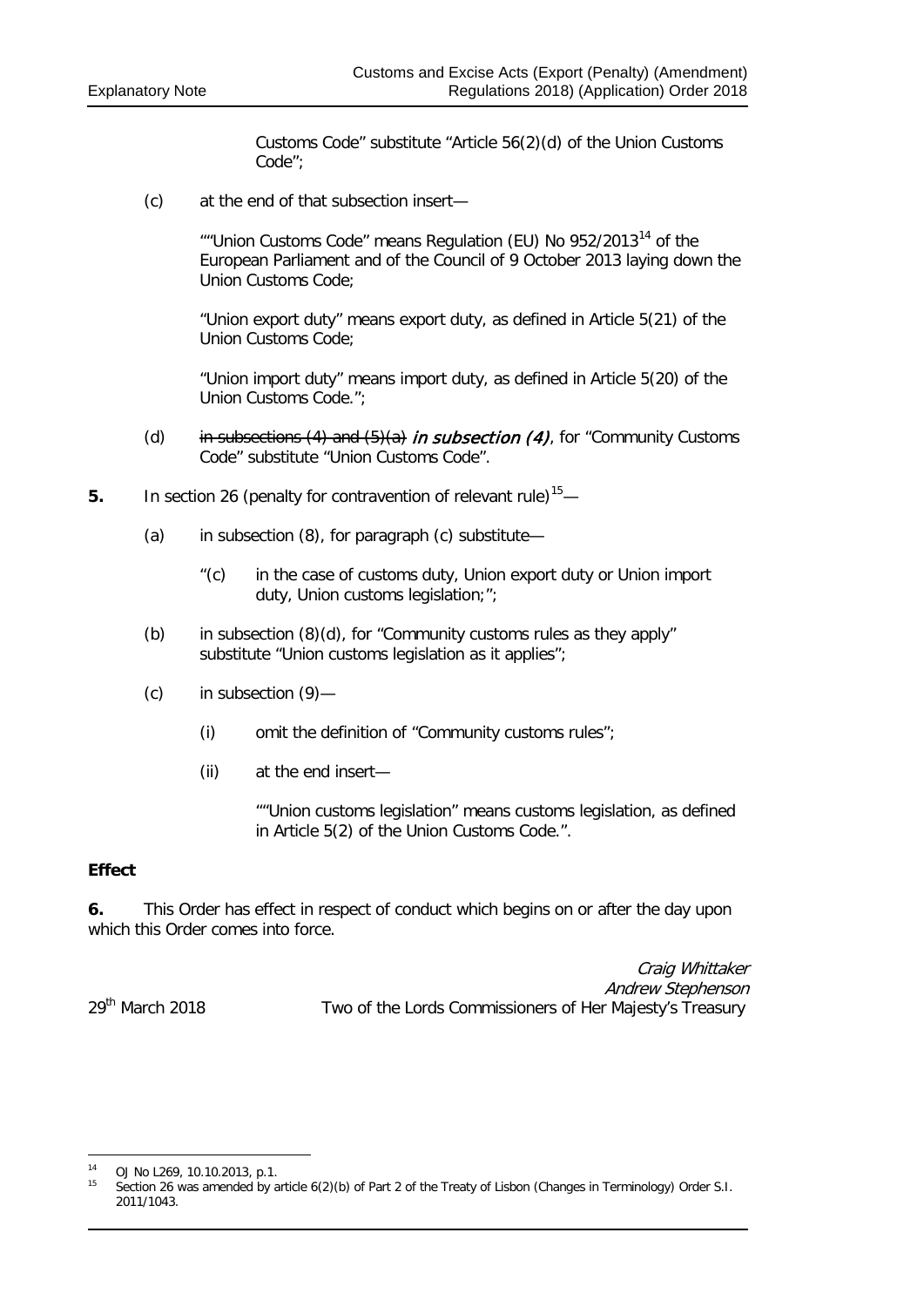Customs Code" substitute "Article 56(2)(d) of the Union Customs Code";

(c) at the end of that subsection insert—

""Union Customs Code" means Regulation (EU) No  $952/2013^{14}$  $952/2013^{14}$  $952/2013^{14}$  of the European Parliament and of the Council of 9 October 2013 laying down the Union Customs Code;

"Union export duty" means export duty, as defined in Article 5(21) of the Union Customs Code;

"Union import duty" means import duty, as defined in Article 5(20) of the Union Customs Code.";

- (d) in subsections (4) and  $(5)(a)$  in subsection (4), for "Community Customs Code" substitute "Union Customs Code".
- **5.** In section 26 (penalty for contravention of relevant rule)<sup>15</sup>—
	- (a) in subsection (8), for paragraph (c) substitute—
		- "(c) in the case of customs duty, Union export duty or Union import duty, Union customs legislation;";
	- (b) in subsection  $(8)(d)$ , for "Community customs rules as they apply" substitute "Union customs legislation as it applies";
	- (c) in subsection (9)—
		- (i) omit the definition of "Community customs rules";
		- (ii) at the end insert—

""Union customs legislation" means customs legislation, as defined in Article 5(2) of the Union Customs Code.".

### **Effect**

1

**6.** This Order has effect in respect of conduct which begins on or after the day upon which this Order comes into force.

Craig Whittaker Andrew Stephenson 29<sup>th</sup> March 2018 Two of the Lords Commissioners of Her Majesty's Treasury

<span id="page-17-1"></span><span id="page-17-0"></span><sup>14</sup> OJ No L269, 10.10.2013, p.1.<br><sup>15</sup> Section 26 was amonded by a

<sup>15</sup> Section 26 was amended by article 6(2)(b) of Part 2 of the Treaty of Lisbon (Changes in Terminology) Order S.I. 2011/1043.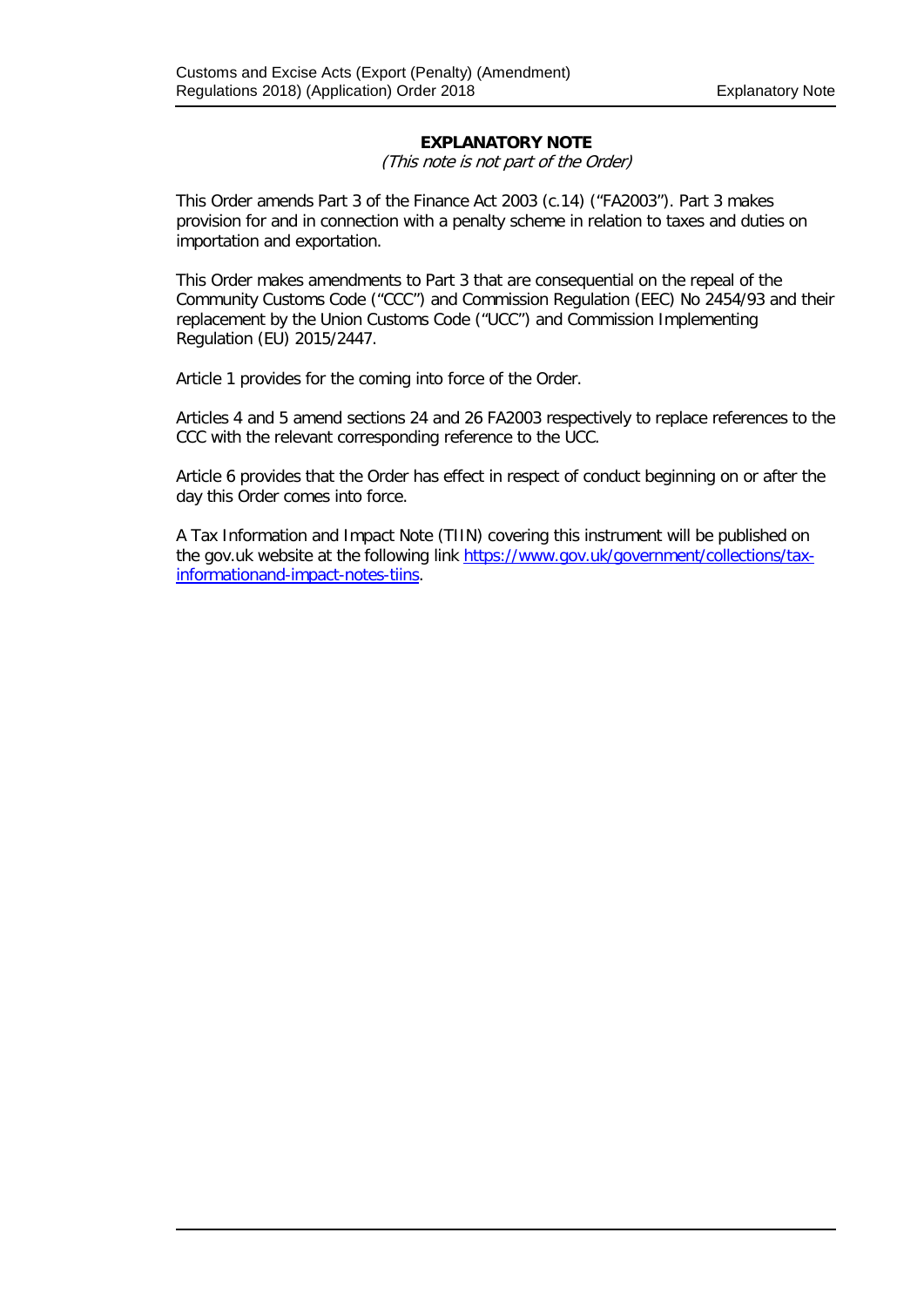### **EXPLANATORY NOTE**

(This note is not part of the Order)

This Order amends Part 3 of the Finance Act 2003 (c.14) ("FA2003"). Part 3 makes provision for and in connection with a penalty scheme in relation to taxes and duties on importation and exportation.

This Order makes amendments to Part 3 that are consequential on the repeal of the Community Customs Code ("CCC") and Commission Regulation (EEC) No 2454/93 and their replacement by the Union Customs Code ("UCC") and Commission Implementing Regulation (EU) 2015/2447.

Article 1 provides for the coming into force of the Order.

Articles 4 and 5 amend sections 24 and 26 FA2003 respectively to replace references to the CCC with the relevant corresponding reference to the UCC.

Article 6 provides that the Order has effect in respect of conduct beginning on or after the day this Order comes into force.

A Tax Information and Impact Note (TIIN) covering this instrument will be published on the gov.uk website at the following link [https://www.gov.uk/government/collections/tax](https://www.gov.uk/government/collections/tax-informationand-impact-notes-tiins)[informationand-impact-notes-tiins.](https://www.gov.uk/government/collections/tax-informationand-impact-notes-tiins)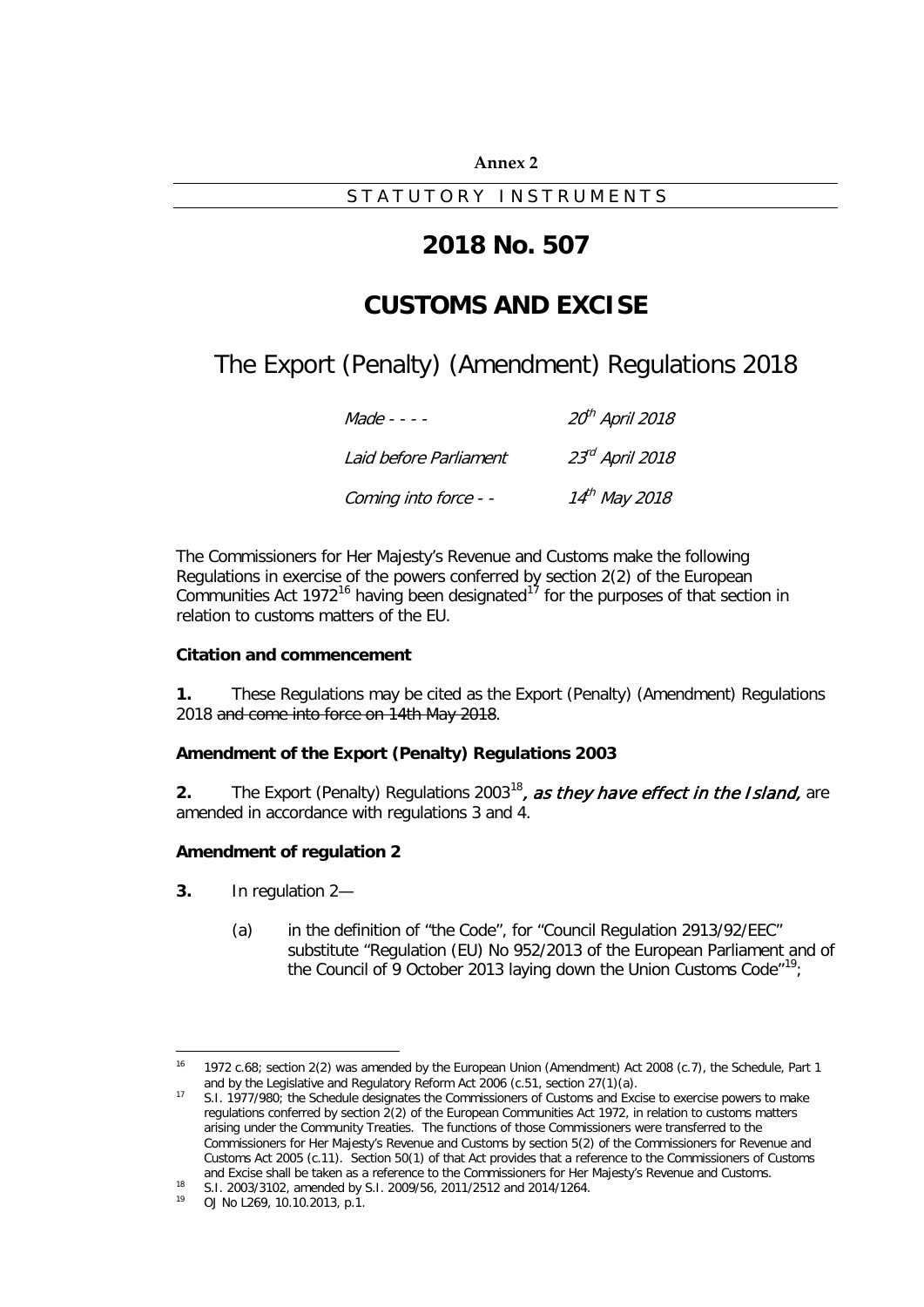#### **Annex 2**

STATUTORY INSTRUMENTS

# **2018 No. 507**

# **CUSTOMS AND EXCISE**

The Export (Penalty) (Amendment) Regulations 2018

| $Made - - -$           | 20 <sup>th</sup> April 2018 |
|------------------------|-----------------------------|
| Laid before Parliament | $23rd$ April 2018           |
| Coming into force - -  | 14 <sup>th</sup> May 2018   |

The Commissioners for Her Majesty's Revenue and Customs make the following Regulations in exercise of the powers conferred by section 2(2) of the European Communities Act 1972<sup>[16](#page-20-0)</sup> having been designated<sup>[17](#page-20-1)</sup> for the purposes of that section in relation to customs matters of the EU.

### **Citation and commencement**

**1.** These Regulations may be cited as the Export (Penalty) (Amendment) Regulations 2018 and come into force on 14th May 2018.

### **Amendment of the Export (Penalty) Regulations 2003**

**2.** The Export (Penalty) Regulations 2003<sup>[18](#page-20-2)</sup>, as they have effect in the Island, are amended in accordance with regulations 3 and 4.

### **Amendment of regulation 2**

- **3.** In regulation 2—
	- (a) in the definition of "the Code", for "Council Regulation 2913/92/EEC" substitute "Regulation (EU) No 952/2013 of the European Parliament and of the Council of 9 October 2013 laying down the Union Customs Code"<sup>[19](#page-20-3)</sup>;

<span id="page-20-0"></span><sup>16</sup> 1972 c.68; section 2(2) was amended by the European Union (Amendment) Act 2008 (c.7), the Schedule, Part 1 and by the Legislative and Regulatory Reform Act 2006 (c.51, section 27(1)(a).  $16$ 

<span id="page-20-1"></span><sup>17</sup> S.I. 1977/980; the Schedule designates the Commissioners of Customs and Excise to exercise powers to make regulations conferred by section 2(2) of the European Communities Act 1972, in relation to customs matters arising under the Community Treaties. The functions of those Commissioners were transferred to the Commissioners for Her Majesty's Revenue and Customs by section 5(2) of the Commissioners for Revenue and Customs Act 2005 (c.11). Section 50(1) of that Act provides that a reference to the Commissioners of Customs and Excise shall be taken as a reference to the Commissioners for Her Majesty's Revenue and Customs.

<span id="page-20-2"></span><sup>18</sup> S.I. 2003/3102, amended by S.I. 2009/56, 2011/2512 and 2014/1264.

<span id="page-20-3"></span><sup>19</sup> OJ No L269, 10.10.2013, p.1.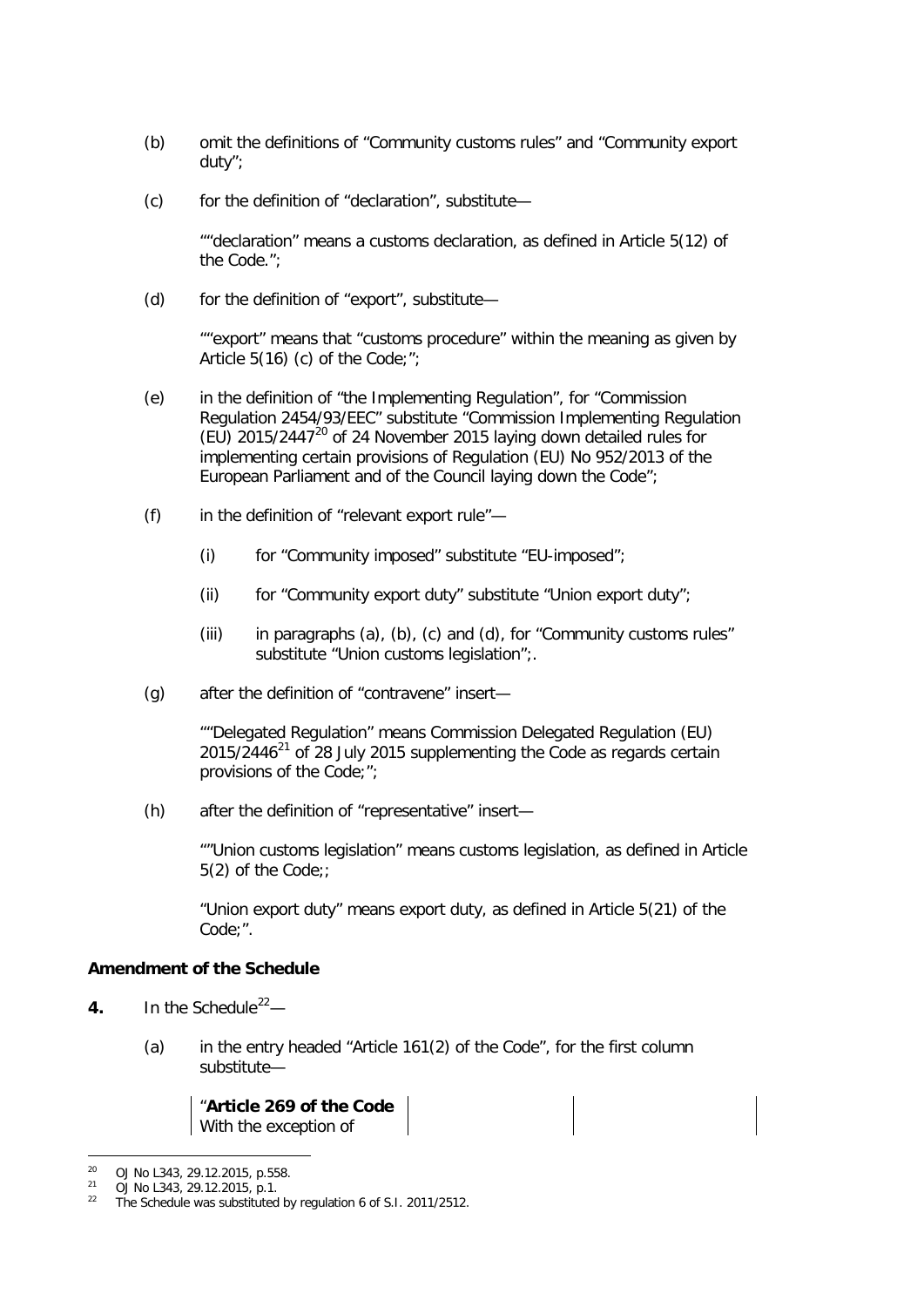- (b) omit the definitions of "Community customs rules" and "Community export duty";
- (c) for the definition of "declaration", substitute—

""declaration" means a customs declaration, as defined in Article 5(12) of the Code.";

(d) for the definition of "export", substitute—

""export" means that "customs procedure" within the meaning as given by Article 5(16) (c) of the Code;";

- (e) in the definition of "the Implementing Regulation", for "Commission Regulation 2454/93/EEC" substitute "Commission Implementing Regulation (EU) 2015/2447[20](#page-21-0) of 24 November 2015 laying down detailed rules for implementing certain provisions of Regulation (EU) No 952/2013 of the European Parliament and of the Council laying down the Code";
- (f) in the definition of "relevant export rule"—
	- (i) for "Community imposed" substitute "EU-imposed";
	- (ii) for "Community export duty" substitute "Union export duty";
	- (iii) in paragraphs (a), (b), (c) and (d), for "Community customs rules" substitute "Union customs legislation";.
- (g) after the definition of "contravene" insert—

""Delegated Regulation" means Commission Delegated Regulation (EU)  $2015/2446^{21}$  $2015/2446^{21}$  $2015/2446^{21}$  of 28 July 2015 supplementing the Code as regards certain provisions of the Code;";

(h) after the definition of "representative" insert—

""Union customs legislation" means customs legislation, as defined in Article 5(2) of the Code;;

"Union export duty" means export duty, as defined in Article 5(21) of the Code;".

### **Amendment of the Schedule**

- **4.** In the Schedule<sup>22</sup> $-$ 
	- (a) in the entry headed "Article 161(2) of the Code", for the first column substitute—

"**Article 269 of the Code** With the exception of

-

 $^{20}$  OJ No L343, 29.12.2015, p.558.

<span id="page-21-2"></span><span id="page-21-1"></span><span id="page-21-0"></span> $^{21}$  OJ No L343, 29.12.2015, p.1.<br> $^{22}$  The Schedule was substituted

The Schedule was substituted by regulation 6 of S.I. 2011/2512.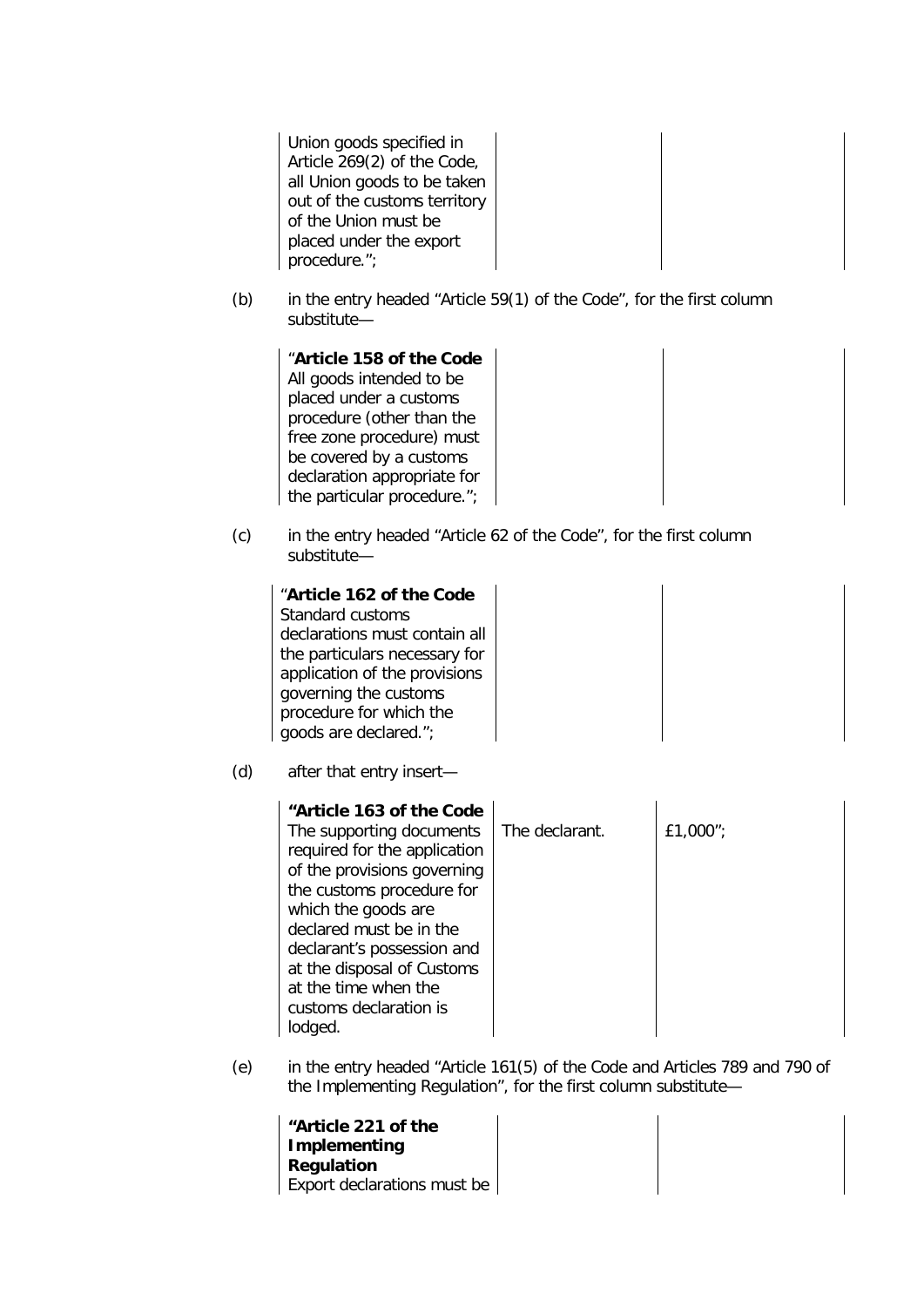Union goods specified in Article 269(2) of the Code, all Union goods to be taken out of the customs territory of the Union must be placed under the export procedure.";

(b) in the entry headed "Article 59(1) of the Code", for the first column substitute—

"**Article 158 of the Code** All goods intended to be placed under a customs procedure (other than the free zone procedure) must be covered by a customs declaration appropriate for the particular procedure.";

(c) in the entry headed "Article 62 of the Code", for the first column substitute—

"**Article 162 of the Code** Standard customs declarations must contain all the particulars necessary for application of the provisions governing the customs procedure for which the goods are declared.";

(d) after that entry insert—

(e) in the entry headed "Article 161(5) of the Code and Articles 789 and 790 of the Implementing Regulation", for the first column substitute—

| "Article 221 of the         |  |
|-----------------------------|--|
| Implementing<br>Regulation  |  |
| Export declarations must be |  |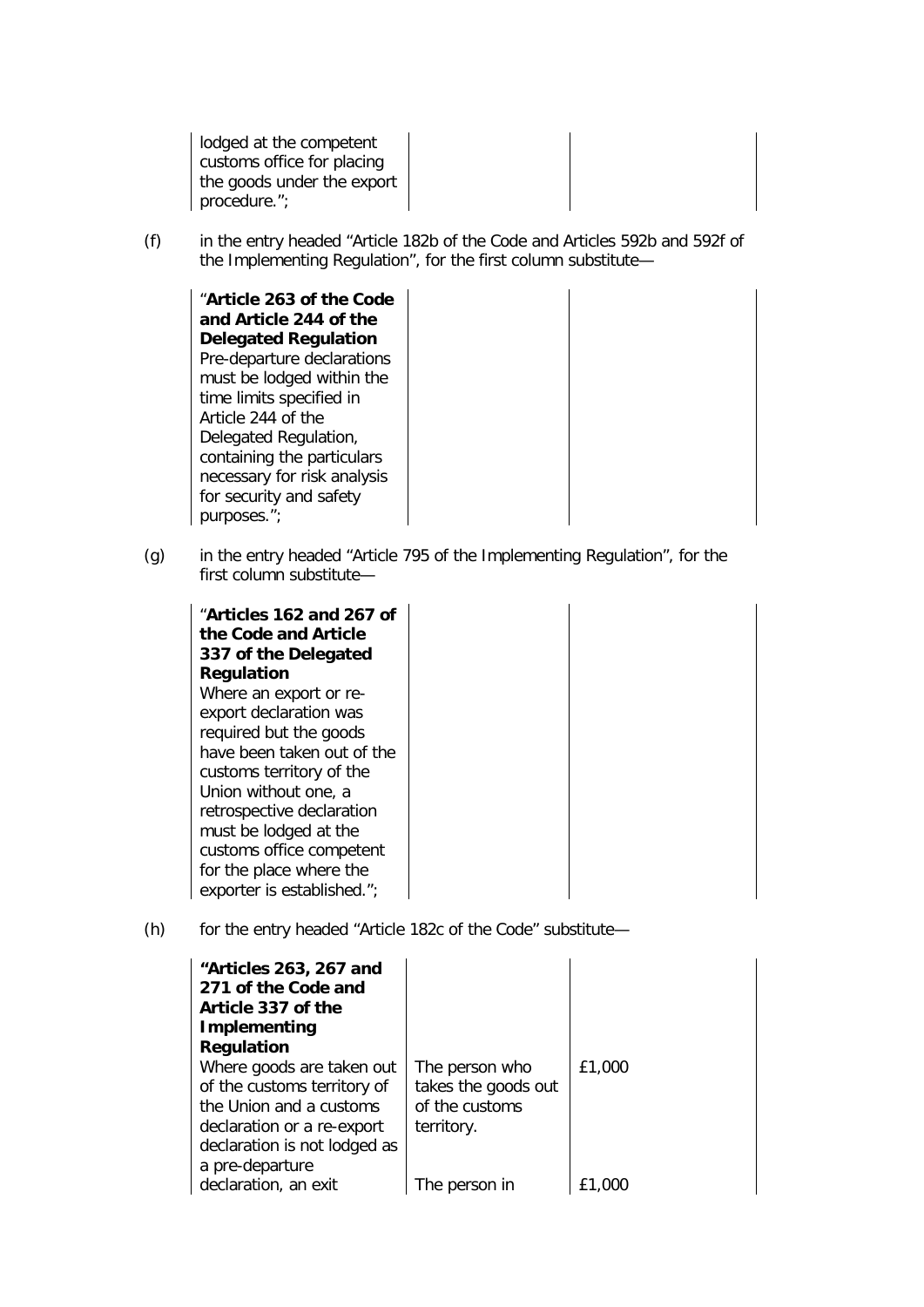lodged at the competent customs office for placing the goods under the export procedure.";

(f) in the entry headed "Article 182b of the Code and Articles 592b and 592f of the Implementing Regulation", for the first column substitute—

"**Article 263 of the Code and Article 244 of the Delegated Regulation** Pre-departure declarations must be lodged within the time limits specified in Article 244 of the Delegated Regulation, containing the particulars necessary for risk analysis for security and safety purposes.";

(g) in the entry headed "Article 795 of the Implementing Regulation", for the first column substitute—

| "Articles 162 and 267 of<br>the Code and Article<br>337 of the Delegated |  |
|--------------------------------------------------------------------------|--|
| <b>Regulation</b>                                                        |  |
| Where an export or re-                                                   |  |
| export declaration was                                                   |  |
| required but the goods                                                   |  |
| have been taken out of the                                               |  |
| customs territory of the                                                 |  |
| Union without one, a                                                     |  |
| retrospective declaration                                                |  |
| must be lodged at the                                                    |  |
| customs office competent                                                 |  |
| for the place where the                                                  |  |
| exporter is established.";                                               |  |

(h) for the entry headed "Article 182c of the Code" substitute—

| "Articles 263, 267 and<br>271 of the Code and<br>Article 337 of the<br>Implementing |                     |        |
|-------------------------------------------------------------------------------------|---------------------|--------|
| <b>Regulation</b>                                                                   |                     |        |
| Where goods are taken out                                                           | The person who      | £1,000 |
| of the customs territory of                                                         | takes the goods out |        |
| the Union and a customs                                                             | of the customs      |        |
| declaration or a re-export                                                          | territory.          |        |
| declaration is not lodged as                                                        |                     |        |
| a pre-departure                                                                     |                     |        |
| declaration, an exit                                                                | The person in       |        |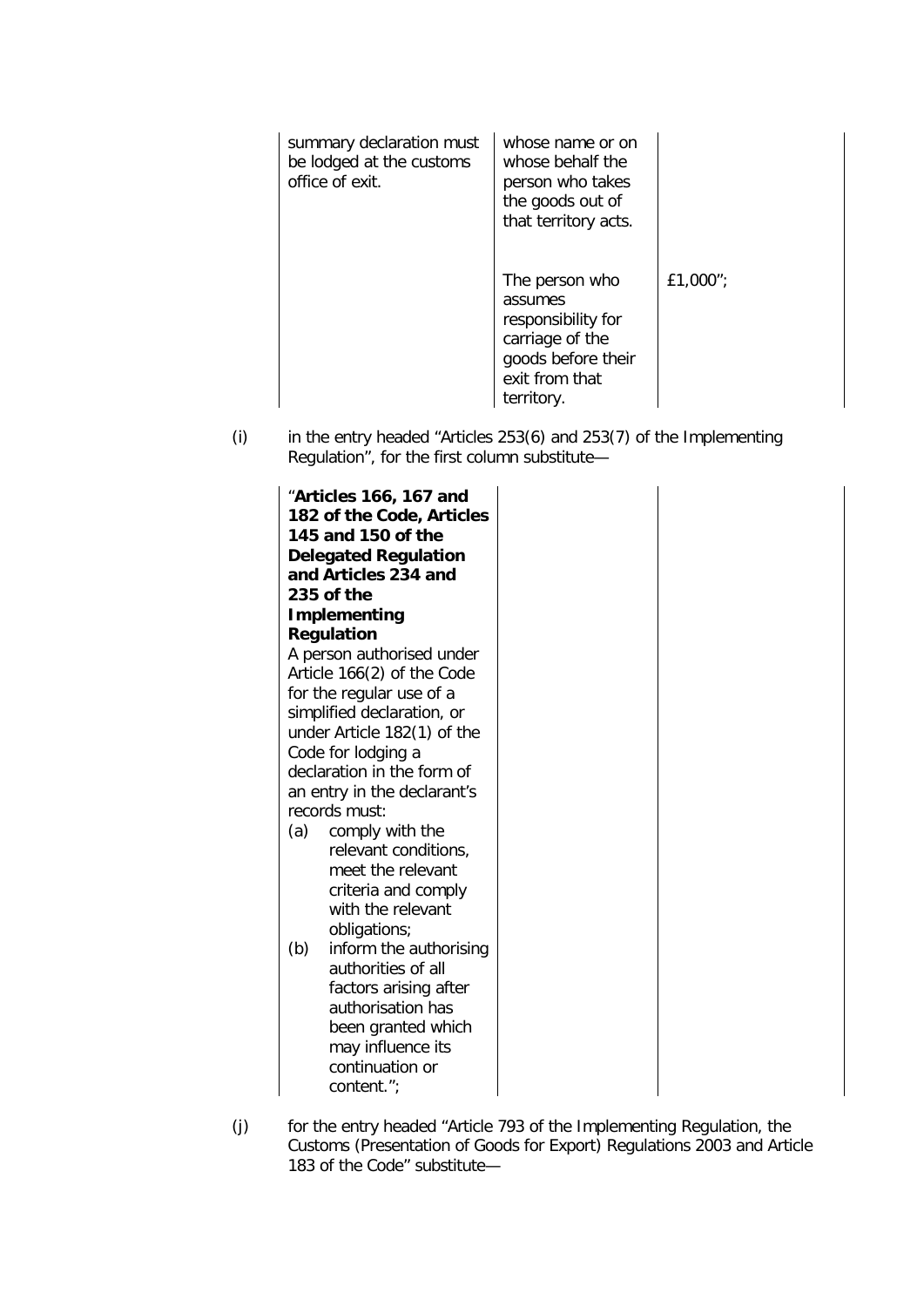| summary declaration must<br>be lodged at the customs<br>office of exit. | whose name or on<br>whose behalf the<br>person who takes<br>the goods out of<br>that territory acts.                     |          |
|-------------------------------------------------------------------------|--------------------------------------------------------------------------------------------------------------------------|----------|
|                                                                         | The person who<br>assumes<br>responsibility for<br>carriage of the<br>goods before their<br>exit from that<br>territory. | £1,000"; |

 $(i)$  in the entry headed "Articles 253(6) and 253(7) of the Implementing Regulation", for the first column substitute—

|     | "Articles 166, 167 and<br>182 of the Code, Articles<br>145 and 150 of the<br><b>Delegated Regulation</b><br>and Articles 234 and<br>235 of the |  |
|-----|------------------------------------------------------------------------------------------------------------------------------------------------|--|
|     | Implementing                                                                                                                                   |  |
|     | <b>Regulation</b>                                                                                                                              |  |
|     | A person authorised under<br>Article 166(2) of the Code                                                                                        |  |
|     | for the regular use of a                                                                                                                       |  |
|     | simplified declaration, or                                                                                                                     |  |
|     | under Article 182(1) of the                                                                                                                    |  |
|     | Code for lodging a                                                                                                                             |  |
|     | declaration in the form of                                                                                                                     |  |
|     | an entry in the declarant's                                                                                                                    |  |
|     | records must:                                                                                                                                  |  |
| (a) | comply with the                                                                                                                                |  |
|     | relevant conditions,                                                                                                                           |  |
|     | meet the relevant                                                                                                                              |  |
|     | criteria and comply<br>with the relevant                                                                                                       |  |
|     |                                                                                                                                                |  |
| (b) | obligations;                                                                                                                                   |  |
|     | inform the authorising<br>authorities of all                                                                                                   |  |
|     | factors arising after                                                                                                                          |  |
|     | authorisation has                                                                                                                              |  |
|     | been granted which                                                                                                                             |  |
|     | may influence its                                                                                                                              |  |
|     | continuation or                                                                                                                                |  |
|     | content.";                                                                                                                                     |  |
|     |                                                                                                                                                |  |

(j) for the entry headed "Article 793 of the Implementing Regulation, the Customs (Presentation of Goods for Export) Regulations 2003 and Article 183 of the Code" substitute—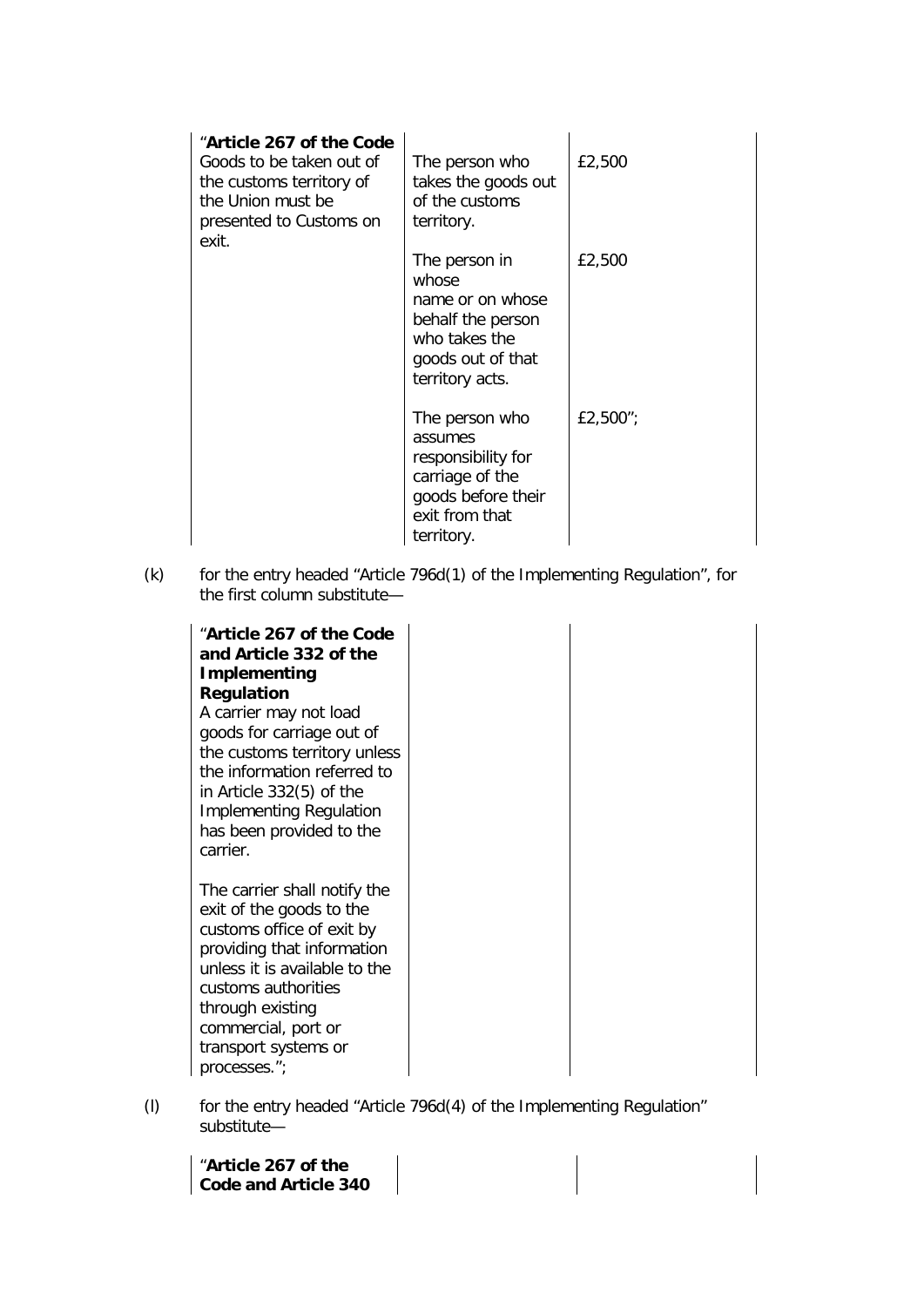| "Article 267 of the Code<br>Goods to be taken out of<br>the customs territory of<br>the Union must be<br>presented to Customs on<br>exit. | The person who<br>takes the goods out<br>of the customs<br>territory.                                                    | £2,500   |
|-------------------------------------------------------------------------------------------------------------------------------------------|--------------------------------------------------------------------------------------------------------------------------|----------|
|                                                                                                                                           | The person in<br>whose<br>name or on whose<br>behalf the person<br>who takes the<br>goods out of that<br>territory acts. | £2,500   |
|                                                                                                                                           | The person who<br>assumes<br>responsibility for<br>carriage of the<br>goods before their<br>exit from that<br>territory. | £2,500"; |

(k) for the entry headed "Article 796d(1) of the Implementing Regulation", for the first column substitute—

| "Article 267 of the Code<br>and Article 332 of the<br><b>Implementing</b><br><b>Regulation</b><br>A carrier may not load<br>goods for carriage out of<br>the customs territory unless<br>the information referred to<br>in Article $332(5)$ of the<br><b>Implementing Regulation</b><br>has been provided to the<br>carrier. |
|------------------------------------------------------------------------------------------------------------------------------------------------------------------------------------------------------------------------------------------------------------------------------------------------------------------------------|
| The carrier shall notify the<br>exit of the goods to the<br>customs office of exit by<br>providing that information<br>unless it is available to the<br>customs authorities<br>through existing<br>commercial, port or<br>transport systems or<br>processes.";                                                               |

(l) for the entry headed "Article 796d(4) of the Implementing Regulation" substitute—

| "Article 267 of the  |  |
|----------------------|--|
| Code and Article 340 |  |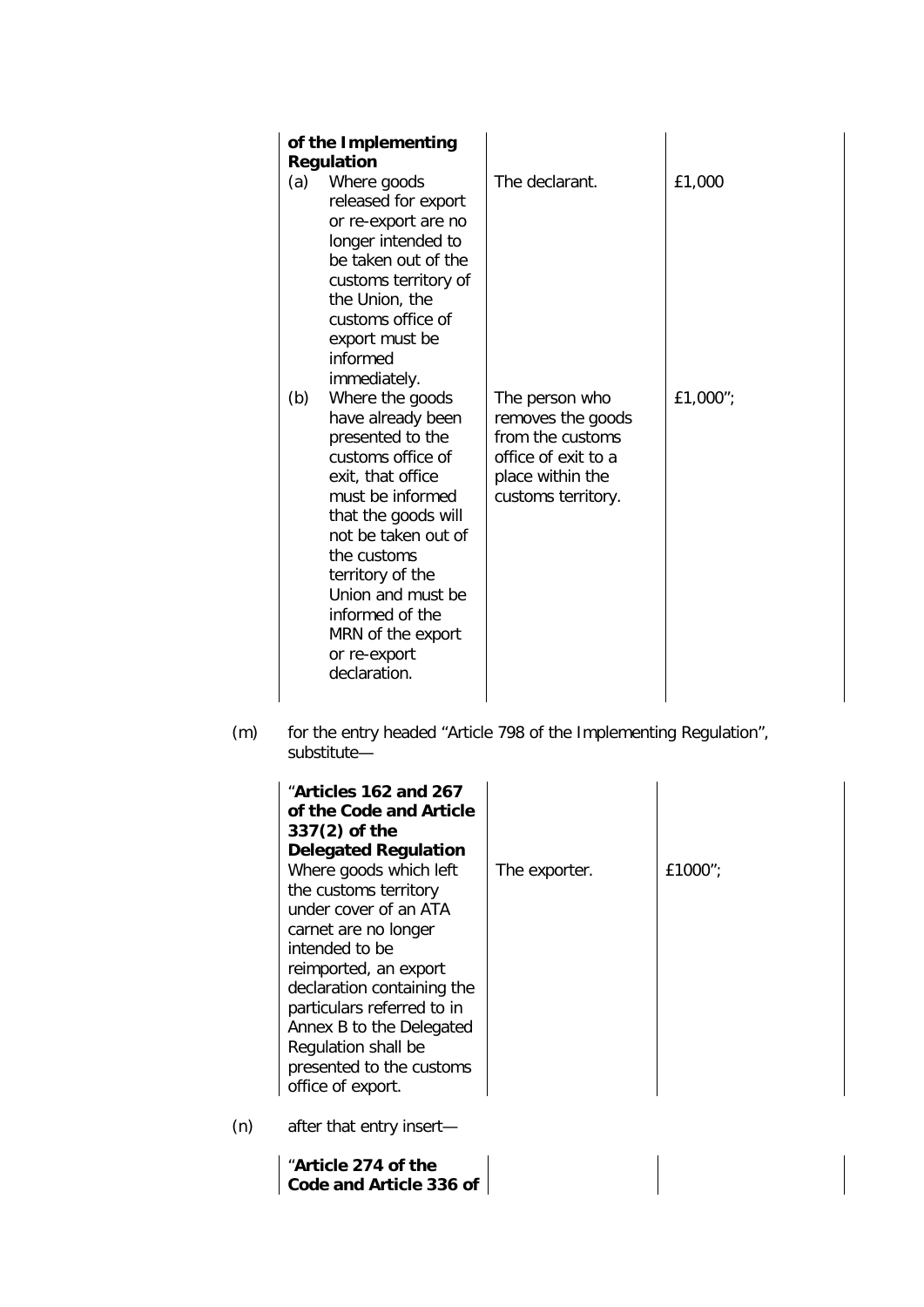| (a)<br>(b) | of the Implementing<br><b>Regulation</b><br>Where goods<br>released for export<br>or re-export are no<br>longer intended to<br>be taken out of the<br>customs territory of<br>the Union, the<br>customs office of<br>export must be<br>informed<br>immediately.<br>Where the goods | The declarant.<br>The person who                                                                       | £1,000<br>£1,000"; |
|------------|------------------------------------------------------------------------------------------------------------------------------------------------------------------------------------------------------------------------------------------------------------------------------------|--------------------------------------------------------------------------------------------------------|--------------------|
|            | have already been<br>presented to the<br>customs office of<br>exit, that office<br>must be informed<br>that the goods will<br>not be taken out of<br>the customs<br>territory of the<br>Union and must be<br>informed of the<br>MRN of the export<br>or re-export<br>declaration.  | removes the goods<br>from the customs<br>office of exit to a<br>place within the<br>customs territory. |                    |

(m) for the entry headed "Article 798 of the Implementing Regulation", substitute—

| "Articles 162 and 267<br>of the Code and Article<br>$337(2)$ of the<br><b>Delegated Regulation</b><br>Where goods which left<br>the customs territory<br>under cover of an ATA<br>carnet are no longer<br>intended to be<br>reimported, an export<br>declaration containing the<br>particulars referred to in<br>Annex B to the Delegated<br>Regulation shall be<br>presented to the customs<br>office of export. | The exporter. | £1000"; |
|-------------------------------------------------------------------------------------------------------------------------------------------------------------------------------------------------------------------------------------------------------------------------------------------------------------------------------------------------------------------------------------------------------------------|---------------|---------|
| after that entry insert-                                                                                                                                                                                                                                                                                                                                                                                          |               |         |

"**Article 274 of the Code and Article 336 of** 

 $(n)$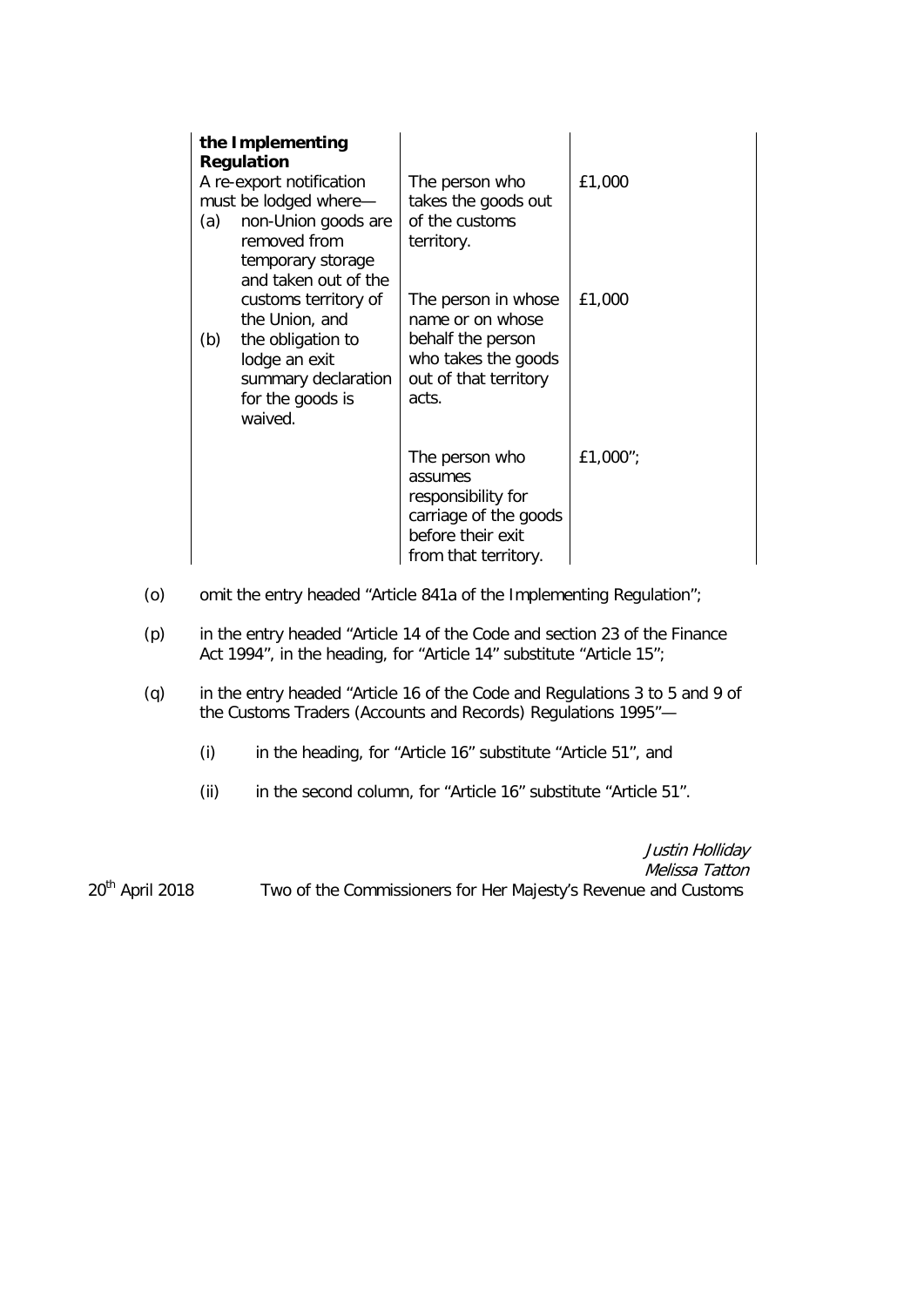| (a)<br>(b) | the Implementing<br><b>Regulation</b><br>A re-export notification<br>must be lodged where-<br>non-Union goods are<br>removed from<br>temporary storage<br>and taken out of the<br>customs territory of<br>the Union, and<br>the obligation to<br>lodge an exit<br>summary declaration<br>for the goods is<br>waived. | The person who<br>takes the goods out<br>of the customs<br>territory.<br>The person in whose<br>name or on whose<br>behalf the person<br>who takes the goods<br>out of that territory<br>acts. | £1,000<br>£1,000 |
|------------|----------------------------------------------------------------------------------------------------------------------------------------------------------------------------------------------------------------------------------------------------------------------------------------------------------------------|------------------------------------------------------------------------------------------------------------------------------------------------------------------------------------------------|------------------|
|            |                                                                                                                                                                                                                                                                                                                      | The person who<br>assumes<br>responsibility for<br>carriage of the goods<br>before their exit<br>from that territory.                                                                          | £1,000";         |

- (o) omit the entry headed "Article 841a of the Implementing Regulation";
- (p) in the entry headed "Article 14 of the Code and section 23 of the Finance Act 1994", in the heading, for "Article 14" substitute "Article 15";
- (q) in the entry headed "Article 16 of the Code and Regulations 3 to 5 and 9 of the Customs Traders (Accounts and Records) Regulations 1995"—
	- (i) in the heading, for "Article 16" substitute "Article 51", and
	- (ii) in the second column, for "Article 16" substitute "Article 51".

Justin Holliday Melissa Tatton 20<sup>th</sup> April 2018 Two of the Commissioners for Her Majesty's Revenue and Customs